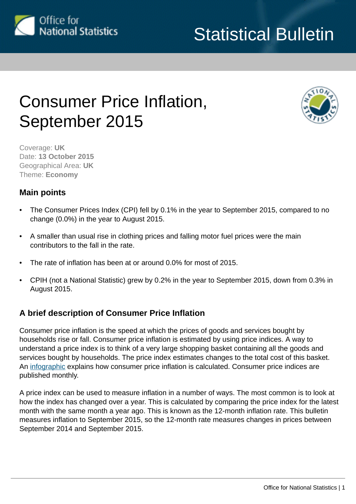

# Statistical Bulletin

## Consumer Price Inflation, September 2015



Coverage: **UK** Date: **13 October 2015** Geographical Area: **UK** Theme: **Economy**

## **Main points**

- The Consumer Prices Index (CPI) fell by 0.1% in the year to September 2015, compared to no change (0.0%) in the year to August 2015.
- A smaller than usual rise in clothing prices and falling motor fuel prices were the main contributors to the fall in the rate.
- The rate of inflation has been at or around 0.0% for most of 2015.
- CPIH (not a National Statistic) grew by 0.2% in the year to September 2015, down from 0.3% in August 2015.

## **A brief description of Consumer Price Inflation**

Consumer price inflation is the speed at which the prices of goods and services bought by households rise or fall. Consumer price inflation is estimated by using price indices. A way to understand a price index is to think of a very large shopping basket containing all the goods and services bought by households. The price index estimates changes to the total cost of this basket. An [infographic](http://www.ons.gov.uk/ons/infographics/how-cpi-is-calculated/index.html) explains how consumer price inflation is calculated. Consumer price indices are published monthly.

A price index can be used to measure inflation in a number of ways. The most common is to look at how the index has changed over a year. This is calculated by comparing the price index for the latest month with the same month a year ago. This is known as the 12-month inflation rate. This bulletin measures inflation to September 2015, so the 12-month rate measures changes in prices between September 2014 and September 2015.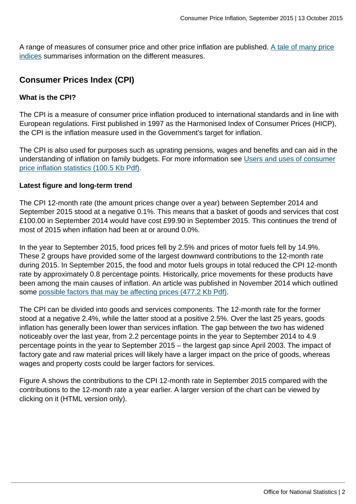A range of measures of consumer price and other price inflation are published. [A tale of many price](http://www.ons.gov.uk:80/ons/rel/cpi/consumer-price-indices/december-2012/sty-a-tale-of-many-price-indices.html) [indices](http://www.ons.gov.uk:80/ons/rel/cpi/consumer-price-indices/december-2012/sty-a-tale-of-many-price-indices.html) summarises information on the different measures.

## **Consumer Prices Index (CPI)**

#### **What is the CPI?**

The CPI is a measure of consumer price inflation produced to international standards and in line with European regulations. First published in 1997 as the Harmonised Index of Consumer Prices (HICP), the CPI is the inflation measure used in the Government's target for inflation.

The CPI is also used for purposes such as uprating pensions, wages and benefits and can aid in the understanding of inflation on family budgets. For more information see [Users and uses of consumer](http://www.ons.gov.uk:80/ons/guide-method/user-guidance/prices/cpi-and-rpi/users-and-uses-of-the-consumer-price-inflation-statistics.pdf) [price inflation statistics \(100.5 Kb Pdf\).](http://www.ons.gov.uk:80/ons/guide-method/user-guidance/prices/cpi-and-rpi/users-and-uses-of-the-consumer-price-inflation-statistics.pdf)

#### **Latest figure and long-term trend**

The CPI 12-month rate (the amount prices change over a year) between September 2014 and September 2015 stood at a negative 0.1%. This means that a basket of goods and services that cost £100.00 in September 2014 would have cost £99.90 in September 2015. This continues the trend of most of 2015 when inflation had been at or around 0.0%.

In the year to September 2015, food prices fell by 2.5% and prices of motor fuels fell by 14.9%. These 2 groups have provided some of the largest downward contributions to the 12-month rate during 2015. In September 2015, the food and motor fuels groups in total reduced the CPI 12-month rate by approximately 0.8 percentage points. Historically, price movements for these products have been among the main causes of inflation. An article was published in November 2014 which outlined some [possible factors that may be affecting prices \(477.2 Kb Pdf\).](http://www.ons.gov.uk:80/ons/guide-method/user-guidance/prices/cpi-and-rpi/what-is-affecting-prices-in-the-uk-in-2014-.pdf)

The CPI can be divided into goods and services components. The 12-month rate for the former stood at a negative 2.4%, while the latter stood at a positive 2.5%. Over the last 25 years, goods inflation has generally been lower than services inflation. The gap between the two has widened noticeably over the last year, from 2.2 percentage points in the year to September 2014 to 4.9 percentage points in the year to September 2015 – the largest gap since April 2003. The impact of factory gate and raw material prices will likely have a larger impact on the price of goods, whereas wages and property costs could be larger factors for services.

Figure A shows the contributions to the CPI 12-month rate in September 2015 compared with the contributions to the 12-month rate a year earlier. A larger version of the chart can be viewed by clicking on it (HTML version only).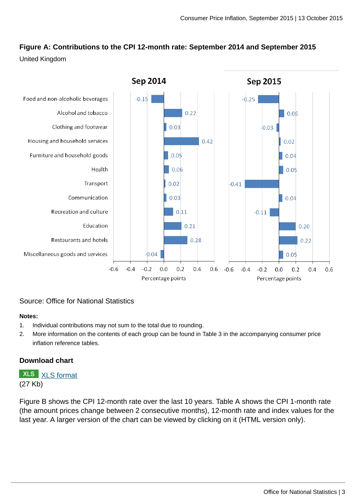## **Figure A: Contributions to the CPI 12-month rate: September 2014 and September 2015**

#### United Kingdom



#### Source: Office for National Statistics

#### **Notes:**

- 1. Individual contributions may not sum to the total due to rounding.
- 2. More information on the contents of each group can be found in Table 3 in the accompanying consumer price inflation reference tables.

#### **Download chart**

**XLS** [XLS format](http://www.ons.gov.uk:80/ons/rel/cpi/consumer-price-indices/september-2015/chd-figure-1.xls) (27 Kb)

Figure B shows the CPI 12-month rate over the last 10 years. Table A shows the CPI 1-month rate (the amount prices change between 2 consecutive months), 12-month rate and index values for the last year. A larger version of the chart can be viewed by clicking on it (HTML version only).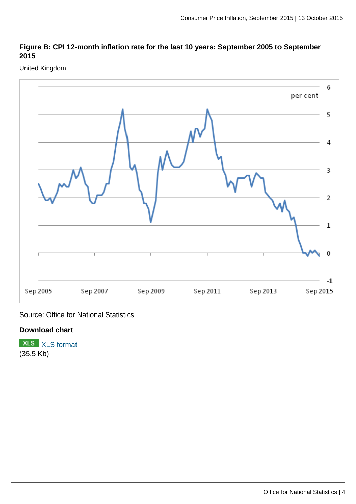#### **Figure B: CPI 12-month inflation rate for the last 10 years: September 2005 to September 2015**

United Kingdom



Source: Office for National Statistics

#### **Download chart**

**XLS** [XLS format](http://www.ons.gov.uk:80/ons/rel/cpi/consumer-price-indices/september-2015/chd-figure-2.xls) (35.5 Kb)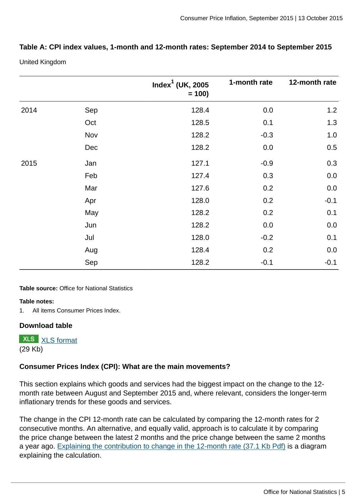#### **Table A: CPI index values, 1-month and 12-month rates: September 2014 to September 2015**

United Kingdom

|      |     | Index $^1$ (UK, 2005<br>$= 100$ | 1-month rate | 12-month rate |
|------|-----|---------------------------------|--------------|---------------|
| 2014 | Sep | 128.4                           | 0.0          | 1.2           |
|      | Oct | 128.5                           | 0.1          | 1.3           |
|      | Nov | 128.2                           | $-0.3$       | $1.0\,$       |
|      | Dec | 128.2                           | 0.0          | 0.5           |
| 2015 | Jan | 127.1                           | $-0.9$       | 0.3           |
|      | Feb | 127.4                           | 0.3          | 0.0           |
|      | Mar | 127.6                           | 0.2          | 0.0           |
|      | Apr | 128.0                           | 0.2          | $-0.1$        |
|      | May | 128.2                           | 0.2          | 0.1           |
|      | Jun | 128.2                           | 0.0          | 0.0           |
|      | Jul | 128.0                           | $-0.2$       | 0.1           |
|      | Aug | 128.4                           | 0.2          | 0.0           |
|      | Sep | 128.2                           | $-0.1$       | $-0.1$        |

#### **Table source:** Office for National Statistics

#### **Table notes:**

1. All items Consumer Prices Index.

#### **Download table**

**XLS** [XLS format](http://www.ons.gov.uk:80/ons/rel/cpi/consumer-price-indices/september-2015/prt-table-1.xls) (29 Kb)

#### **Consumer Prices Index (CPI): What are the main movements?**

This section explains which goods and services had the biggest impact on the change to the 12 month rate between August and September 2015 and, where relevant, considers the longer-term inflationary trends for these goods and services.

The change in the CPI 12-month rate can be calculated by comparing the 12-month rates for 2 consecutive months. An alternative, and equally valid, approach is to calculate it by comparing the price change between the latest 2 months and the price change between the same 2 months a year ago. [Explaining the contribution to change in the 12-month rate \(37.1 Kb Pdf\)](http://www.ons.gov.uk:80/ons/guide-method/user-guidance/prices/cpi-and-rpi/explaining-the-contributions-to-change-in-12-month-rate.pdf) is a diagram explaining the calculation.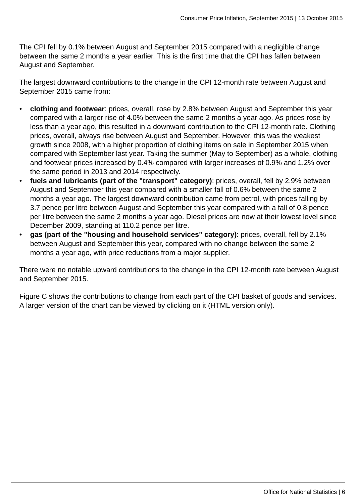The CPI fell by 0.1% between August and September 2015 compared with a negligible change between the same 2 months a year earlier. This is the first time that the CPI has fallen between August and September.

The largest downward contributions to the change in the CPI 12-month rate between August and September 2015 came from:

- **clothing and footwear**: prices, overall, rose by 2.8% between August and September this year compared with a larger rise of 4.0% between the same 2 months a year ago. As prices rose by less than a year ago, this resulted in a downward contribution to the CPI 12-month rate. Clothing prices, overall, always rise between August and September. However, this was the weakest growth since 2008, with a higher proportion of clothing items on sale in September 2015 when compared with September last year. Taking the summer (May to September) as a whole, clothing and footwear prices increased by 0.4% compared with larger increases of 0.9% and 1.2% over the same period in 2013 and 2014 respectively.
- **fuels and lubricants (part of the "transport" category)**: prices, overall, fell by 2.9% between August and September this year compared with a smaller fall of 0.6% between the same 2 months a year ago. The largest downward contribution came from petrol, with prices falling by 3.7 pence per litre between August and September this year compared with a fall of 0.8 pence per litre between the same 2 months a year ago. Diesel prices are now at their lowest level since December 2009, standing at 110.2 pence per litre.
- **gas (part of the "housing and household services" category)**: prices, overall, fell by 2.1% between August and September this year, compared with no change between the same 2 months a year ago, with price reductions from a major supplier.

There were no notable upward contributions to the change in the CPI 12-month rate between August and September 2015.

Figure C shows the contributions to change from each part of the CPI basket of goods and services. A larger version of the chart can be viewed by clicking on it (HTML version only).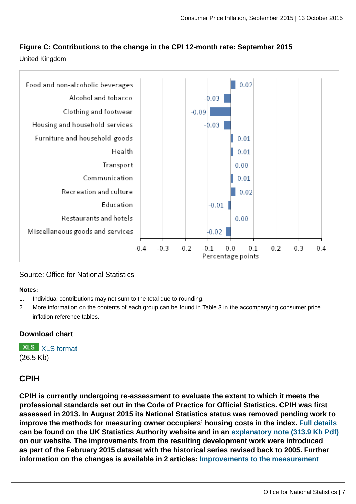### **Figure C: Contributions to the change in the CPI 12-month rate: September 2015**

United Kingdom



#### Source: Office for National Statistics

#### **Notes:**

- 1. Individual contributions may not sum to the total due to rounding.
- 2. More information on the contents of each group can be found in Table 3 in the accompanying consumer price inflation reference tables.

#### **Download chart**

**XLS** [XLS format](http://www.ons.gov.uk:80/ons/rel/cpi/consumer-price-indices/september-2015/chd-figure-3.xls) (26.5 Kb)

### **CPIH**

**CPIH is currently undergoing re-assessment to evaluate the extent to which it meets the professional standards set out in the Code of Practice for Official Statistics. CPIH was first assessed in 2013. In August 2015 its National Statistics status was removed pending work to improve the methods for measuring owner occupiers' housing costs in the index. [Full details](http://www.statisticsauthority.gov.uk/reports---correspondence/correspondence/letter-from-sir-andrew-dilnot-to-john-pullinger-14082014.pdf) can be found on the UK Statistics Authority website and in an [explanatory note \(313.9 Kb Pdf\)](http://www.ons.gov.uk:80/ons/guide-method/user-guidance/prices/cpi-and-rpi/cpih-announcement-august-2014.pdf) on our website. The improvements from the resulting development work were introduced as part of the February 2015 dataset with the historical series revised back to 2005. Further information on the changes is available in 2 articles: [Improvements to the measurement](http://www.ons.gov.uk:80/ons/guide-method/user-guidance/prices/cpi-and-rpi/improvements-to-the-measurement-of-owner-occupiers--housing.pdf)**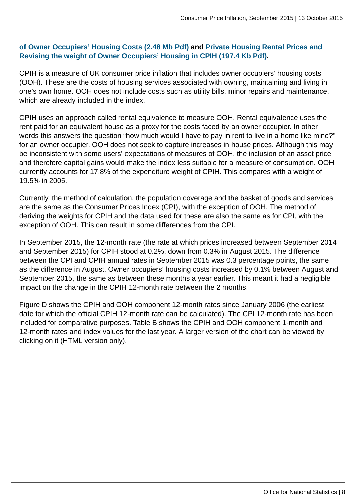#### **[of Owner Occupiers' Housing Costs \(2.48 Mb Pdf\)](http://www.ons.gov.uk:80/ons/guide-method/user-guidance/prices/cpi-and-rpi/improvements-to-the-measurement-of-owner-occupiers--housing.pdf) and [Private Housing Rental Prices and](http://www.ons.gov.uk:80/ons/guide-method/user-guidance/prices/cpi-and-rpi/revising-the-weight-of-owner-occupiers--housing-in-cpih.pdf) [Revising the weight of Owner Occupiers' Housing in CPIH \(197.4 Kb Pdf\).](http://www.ons.gov.uk:80/ons/guide-method/user-guidance/prices/cpi-and-rpi/revising-the-weight-of-owner-occupiers--housing-in-cpih.pdf)**

CPIH is a measure of UK consumer price inflation that includes owner occupiers' housing costs (OOH). These are the costs of housing services associated with owning, maintaining and living in one's own home. OOH does not include costs such as utility bills, minor repairs and maintenance, which are already included in the index.

CPIH uses an approach called rental equivalence to measure OOH. Rental equivalence uses the rent paid for an equivalent house as a proxy for the costs faced by an owner occupier. In other words this answers the question "how much would I have to pay in rent to live in a home like mine?" for an owner occupier. OOH does not seek to capture increases in house prices. Although this may be inconsistent with some users' expectations of measures of OOH, the inclusion of an asset price and therefore capital gains would make the index less suitable for a measure of consumption. OOH currently accounts for 17.8% of the expenditure weight of CPIH. This compares with a weight of 19.5% in 2005.

Currently, the method of calculation, the population coverage and the basket of goods and services are the same as the Consumer Prices Index (CPI), with the exception of OOH. The method of deriving the weights for CPIH and the data used for these are also the same as for CPI, with the exception of OOH. This can result in some differences from the CPI.

In September 2015, the 12-month rate (the rate at which prices increased between September 2014 and September 2015) for CPIH stood at 0.2%, down from 0.3% in August 2015. The difference between the CPI and CPIH annual rates in September 2015 was 0.3 percentage points, the same as the difference in August. Owner occupiers' housing costs increased by 0.1% between August and September 2015, the same as between these months a year earlier. This meant it had a negligible impact on the change in the CPIH 12-month rate between the 2 months.

Figure D shows the CPIH and OOH component 12-month rates since January 2006 (the earliest date for which the official CPIH 12-month rate can be calculated). The CPI 12-month rate has been included for comparative purposes. Table B shows the CPIH and OOH component 1-month and 12-month rates and index values for the last year. A larger version of the chart can be viewed by clicking on it (HTML version only).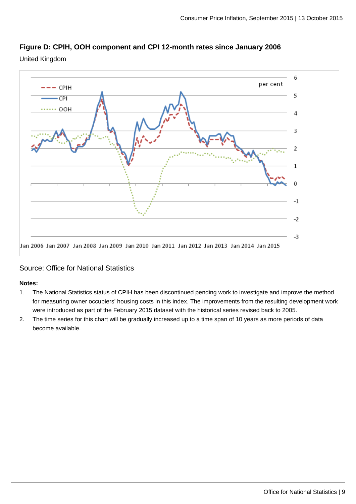

United Kingdom



#### Source: Office for National Statistics

#### **Notes:**

- 1. The National Statistics status of CPIH has been discontinued pending work to investigate and improve the method for measuring owner occupiers' housing costs in this index. The improvements from the resulting development work were introduced as part of the February 2015 dataset with the historical series revised back to 2005.
- 2. The time series for this chart will be gradually increased up to a time span of 10 years as more periods of data become available.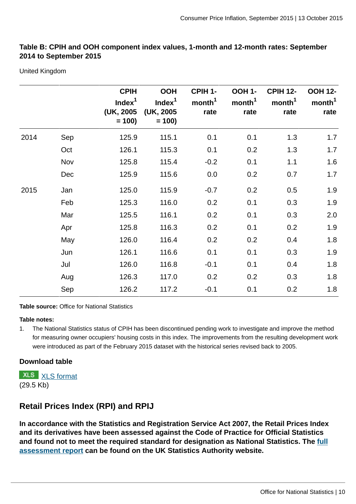#### **Table B: CPIH and OOH component index values, 1-month and 12-month rates: September 2014 to September 2015**

United Kingdom

|      |     | <b>CPIH</b><br>Index $1$<br>(UK, 2005)<br>$= 100$ | <b>OOH</b><br>Index <sup>1</sup><br>(UK, 2005)<br>$= 100$ | CPIH 1-<br>month <sup>1</sup><br>rate | <b>OOH 1-</b><br>month <sup>1</sup><br>rate | <b>CPIH 12-</b><br>month <sup>1</sup><br>rate | <b>OOH 12-</b><br>month <sup>1</sup><br>rate |
|------|-----|---------------------------------------------------|-----------------------------------------------------------|---------------------------------------|---------------------------------------------|-----------------------------------------------|----------------------------------------------|
| 2014 | Sep | 125.9                                             | 115.1                                                     | 0.1                                   | 0.1                                         | 1.3                                           | 1.7                                          |
|      | Oct | 126.1                                             | 115.3                                                     | 0.1                                   | 0.2                                         | 1.3                                           | 1.7                                          |
|      | Nov | 125.8                                             | 115.4                                                     | $-0.2$                                | 0.1                                         | 1.1                                           | 1.6                                          |
|      | Dec | 125.9                                             | 115.6                                                     | 0.0                                   | 0.2                                         | 0.7                                           | 1.7                                          |
| 2015 | Jan | 125.0                                             | 115.9                                                     | $-0.7$                                | 0.2                                         | 0.5                                           | 1.9                                          |
|      | Feb | 125.3                                             | 116.0                                                     | 0.2                                   | 0.1                                         | 0.3                                           | 1.9                                          |
|      | Mar | 125.5                                             | 116.1                                                     | 0.2                                   | 0.1                                         | 0.3                                           | 2.0                                          |
|      | Apr | 125.8                                             | 116.3                                                     | 0.2                                   | 0.1                                         | 0.2                                           | 1.9                                          |
|      | May | 126.0                                             | 116.4                                                     | 0.2                                   | 0.2                                         | 0.4                                           | 1.8                                          |
|      | Jun | 126.1                                             | 116.6                                                     | 0.1                                   | 0.1                                         | 0.3                                           | 1.9                                          |
|      | Jul | 126.0                                             | 116.8                                                     | $-0.1$                                | 0.1                                         | 0.4                                           | 1.8                                          |
|      | Aug | 126.3                                             | 117.0                                                     | 0.2                                   | 0.2                                         | 0.3                                           | 1.8                                          |
|      | Sep | 126.2                                             | 117.2                                                     | $-0.1$                                | 0.1                                         | 0.2                                           | 1.8                                          |

**Table source:** Office for National Statistics

#### **Table notes:**

1. The National Statistics status of CPIH has been discontinued pending work to investigate and improve the method for measuring owner occupiers' housing costs in this index. The improvements from the resulting development work were introduced as part of the February 2015 dataset with the historical series revised back to 2005.

#### **Download table**

**XLS** [XLS format](http://www.ons.gov.uk:80/ons/dcp175269_419247.xml) (29.5 Kb)

## **Retail Prices Index (RPI) and RPIJ**

**In accordance with the Statistics and Registration Service Act 2007, the Retail Prices Index and its derivatives have been assessed against the Code of Practice for Official Statistics and found not to meet the required standard for designation as National Statistics. The [full](http://www.statisticsauthority.gov.uk/assessment/assessment/assessment-reports/assessment-report-246---the-retail-prices-index.pdf) [assessment report](http://www.statisticsauthority.gov.uk/assessment/assessment/assessment-reports/assessment-report-246---the-retail-prices-index.pdf) can be found on the UK Statistics Authority website.**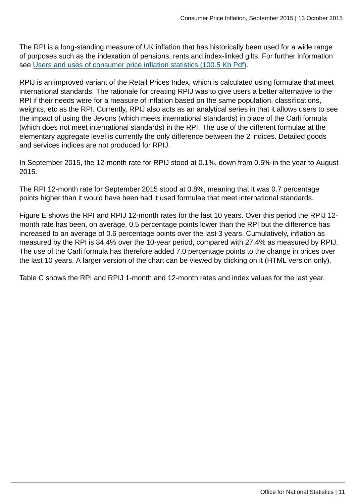The RPI is a long-standing measure of UK inflation that has historically been used for a wide range of purposes such as the indexation of pensions, rents and index-linked gilts. For further information see [Users and uses of consumer price inflation statistics \(100.5 Kb Pdf\).](http://www.ons.gov.uk:80/ons/guide-method/user-guidance/prices/cpi-and-rpi/users-and-uses-of-the-consumer-price-inflation-statistics.pdf)

RPIJ is an improved variant of the Retail Prices Index, which is calculated using formulae that meet international standards. The rationale for creating RPIJ was to give users a better alternative to the RPI if their needs were for a measure of inflation based on the same population, classifications, weights, etc as the RPI. Currently, RPIJ also acts as an analytical series in that it allows users to see the impact of using the Jevons (which meets international standards) in place of the Carli formula (which does not meet international standards) in the RPI. The use of the different formulae at the elementary aggregate level is currently the only difference between the 2 indices. Detailed goods and services indices are not produced for RPIJ.

In September 2015, the 12-month rate for RPIJ stood at 0.1%, down from 0.5% in the year to August 2015.

The RPI 12-month rate for September 2015 stood at 0.8%, meaning that it was 0.7 percentage points higher than it would have been had it used formulae that meet international standards.

Figure E shows the RPI and RPIJ 12-month rates for the last 10 years. Over this period the RPIJ 12 month rate has been, on average, 0.5 percentage points lower than the RPI but the difference has increased to an average of 0.6 percentage points over the last 3 years. Cumulatively, inflation as measured by the RPI is 34.4% over the 10-year period, compared with 27.4% as measured by RPIJ. The use of the Carli formula has therefore added 7.0 percentage points to the change in prices over the last 10 years. A larger version of the chart can be viewed by clicking on it (HTML version only).

Table C shows the RPI and RPIJ 1-month and 12-month rates and index values for the last year.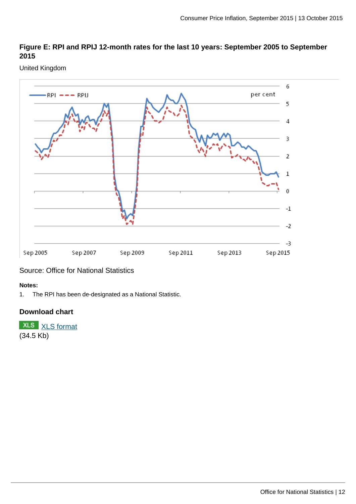#### **Figure E: RPI and RPIJ 12-month rates for the last 10 years: September 2005 to September 2015**

#### United Kingdom



Source: Office for National Statistics

#### **Notes:**

1. The RPI has been de-designated as a National Statistic.

#### **Download chart**

**XLS** [XLS format](http://www.ons.gov.uk:80/ons/rel/cpi/consumer-price-indices/september-2015/chd-figure-5.xls) (34.5 Kb)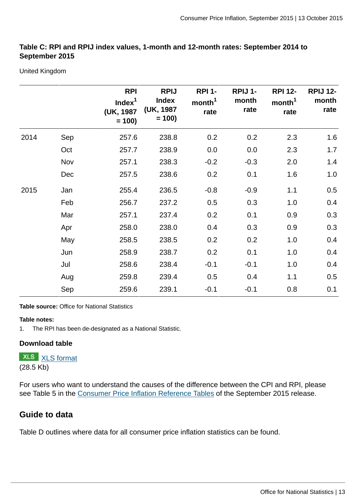#### **Table C: RPI and RPIJ index values, 1-month and 12-month rates: September 2014 to September 2015**

United Kingdom

|      |     | <b>RPI</b><br>Index <sup>1</sup><br>(UK, 1987<br>$= 100$ | <b>RPIJ</b><br><b>Index</b><br>(UK, 1987<br>$= 100$ | <b>RPI 1-</b><br>month <sup>1</sup><br>rate | RPIJ 1-<br>month<br>rate | <b>RPI 12-</b><br>month <sup>1</sup><br>rate | <b>RPIJ 12-</b><br>month<br>rate |
|------|-----|----------------------------------------------------------|-----------------------------------------------------|---------------------------------------------|--------------------------|----------------------------------------------|----------------------------------|
| 2014 | Sep | 257.6                                                    | 238.8                                               | 0.2                                         | 0.2                      | 2.3                                          | 1.6                              |
|      | Oct | 257.7                                                    | 238.9                                               | 0.0                                         | 0.0                      | 2.3                                          | 1.7                              |
|      | Nov | 257.1                                                    | 238.3                                               | $-0.2$                                      | $-0.3$                   | 2.0                                          | 1.4                              |
|      | Dec | 257.5                                                    | 238.6                                               | 0.2                                         | 0.1                      | 1.6                                          | 1.0                              |
| 2015 | Jan | 255.4                                                    | 236.5                                               | $-0.8$                                      | $-0.9$                   | 1.1                                          | 0.5                              |
|      | Feb | 256.7                                                    | 237.2                                               | 0.5                                         | 0.3                      | 1.0                                          | 0.4                              |
|      | Mar | 257.1                                                    | 237.4                                               | 0.2                                         | 0.1                      | 0.9                                          | 0.3                              |
|      | Apr | 258.0                                                    | 238.0                                               | 0.4                                         | 0.3                      | 0.9                                          | 0.3                              |
|      | May | 258.5                                                    | 238.5                                               | 0.2                                         | 0.2                      | 1.0                                          | 0.4                              |
|      | Jun | 258.9                                                    | 238.7                                               | 0.2                                         | 0.1                      | 1.0                                          | 0.4                              |
|      | Jul | 258.6                                                    | 238.4                                               | $-0.1$                                      | $-0.1$                   | 1.0                                          | 0.4                              |
|      | Aug | 259.8                                                    | 239.4                                               | 0.5                                         | 0.4                      | 1.1                                          | 0.5                              |
|      | Sep | 259.6                                                    | 239.1                                               | $-0.1$                                      | $-0.1$                   | 0.8                                          | 0.1                              |

**Table source:** Office for National Statistics

#### **Table notes:**

1. The RPI has been de-designated as a National Statistic.

#### **Download table**

**XLS** [XLS format](http://www.ons.gov.uk:80/ons/rel/cpi/consumer-price-indices/september-2015/prt-table-3.xls) (28.5 Kb)

For users who want to understand the causes of the difference between the CPI and RPI, please see Table 5 in the [Consumer Price Inflation Reference Tables](http://www.ons.gov.uk/ons/publications/re-reference-tables.html?edition=tcm%3A77-323657) of the September 2015 release.

#### **Guide to data**

Table D outlines where data for all consumer price inflation statistics can be found.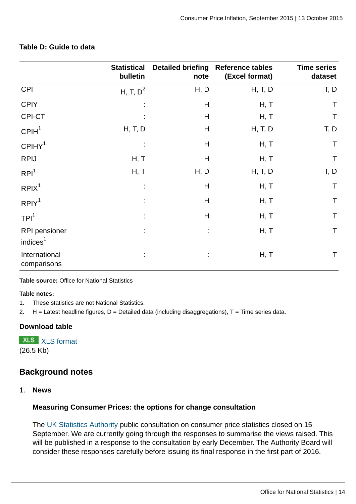|                                       | <b>Statistical</b><br>bulletin | note | Detailed briefing Reference tables<br>(Excel format) | <b>Time series</b><br>dataset |
|---------------------------------------|--------------------------------|------|------------------------------------------------------|-------------------------------|
| <b>CPI</b>                            | H, T, $D^2$                    | H, D | H, T, D                                              | T, D                          |
| <b>CPIY</b>                           |                                | H    | H, T                                                 | $\top$                        |
| CPI-CT                                |                                | H    | H, T                                                 | $\mathsf T$                   |
| CPIH <sup>1</sup>                     | H, T, D                        | H    | H, T, D                                              | T, D                          |
| CPIHY <sup>1</sup>                    |                                | H    | H, T                                                 | $\mathsf T$                   |
| <b>RPIJ</b>                           | H, T                           | H    | H, T                                                 | $\mathsf T$                   |
| RPI <sup>1</sup>                      | H, T                           | H, D | H, T, D                                              | T, D                          |
| RPIX <sup>1</sup>                     | ٠                              | H    | H, T                                                 | Τ                             |
| RPIY <sup>1</sup>                     | ٠                              | H    | H, T                                                 | $\mathsf T$                   |
| TPI <sup>1</sup>                      | t                              | H    | H, T                                                 | $\mathsf T$                   |
| RPI pensioner<br>indices <sup>1</sup> |                                |      | H, T                                                 | $\mathsf T$                   |
| International<br>comparisons          |                                |      | H, T                                                 | T                             |

#### **Table D: Guide to data**

**Table source:** Office for National Statistics

#### **Table notes:**

- 1. These statistics are not National Statistics.
- 2.  $H =$  Latest headline figures,  $D =$  Detailed data (including disaggregations),  $T =$  Time series data.

#### **Download table**

**XLS** [XLS format](http://www.ons.gov.uk:80/ons/dcp175269_419253.xml) (26.5 Kb)

## **Background notes**

1. **News**

#### **Measuring Consumer Prices: the options for change consultation**

The [UK Statistics Authority](http://www.statisticsauthority.gov.uk/reports---correspondence/consultations/index.html) public consultation on consumer price statistics closed on 15 September. We are currently going through the responses to summarise the views raised. This will be published in a response to the consultation by early December. The Authority Board will consider these responses carefully before issuing its final response in the first part of 2016.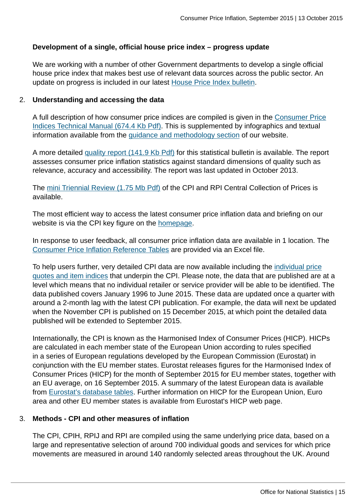#### **Development of a single, official house price index – progress update**

We are working with a number of other Government departments to develop a single official house price index that makes best use of relevant data sources across the public sector. An update on progress is included in our latest [House Price Index bulletin.](http://www.ons.gov.uk:80/ons/rel/hpi/house-price-index/august-2015/stb-hpi-august-2015.html)

#### 2. **Understanding and accessing the data**

A full description of how consumer price indices are compiled is given in the [Consumer Price](http://www.ons.gov.uk:80/ons/guide-method/user-guidance/prices/cpi-and-rpi/cpi-technical-manual/consumer-price-indices-technical-manual--2014.pdf) [Indices Technical Manual \(674.4 Kb Pdf\)](http://www.ons.gov.uk:80/ons/guide-method/user-guidance/prices/cpi-and-rpi/cpi-technical-manual/consumer-price-indices-technical-manual--2014.pdf). This is supplemented by infographics and textual information available from the [guidance and methodology section](http://www.ons.gov.uk:80/ons/guide-method/method-quality/specific/economy/consumer-price-indices/index.html) of our website.

A more detailed [quality report \(141.9 Kb Pdf\)](http://www.ons.gov.uk:80/ons/guide-method/method-quality/quality/quality-information/economic-statistics/summary-quality-report-for-cpi.pdf) for this statistical bulletin is available. The report assesses consumer price inflation statistics against standard dimensions of quality such as relevance, accuracy and accessibility. The report was last updated in October 2013.

The [mini Triennial Review \(1.75 Mb Pdf\)](http://www.ons.gov.uk:80/ons/guide-method/method-quality/quality/triennial-reviews/triennial-review-of-the-consumer-prices-index-and-retail-prices-index-central-collection-of-prices-2012.pdf) of the CPI and RPI Central Collection of Prices is available.

The most efficient way to access the latest consumer price inflation data and briefing on our website is via the CPI key figure on the [homepage](http://www.ons.gov.uk:80/ons/index.html).

In response to user feedback, all consumer price inflation data are available in 1 location. The [Consumer Price Inflation Reference Tables](http://www.ons.gov.uk/ons/publications/re-reference-tables.html?edition=tcm%3A77-323657) are provided via an Excel file.

To help users further, very detailed CPI data are now available including the [individual price](http://www.ons.gov.uk:80/ons/guide-method/user-guidance/prices/cpi-and-rpi/cpi-and-rpi-item-indices-and-price-quotes/index.html) [quotes and item indices](http://www.ons.gov.uk:80/ons/guide-method/user-guidance/prices/cpi-and-rpi/cpi-and-rpi-item-indices-and-price-quotes/index.html) that underpin the CPI. Please note, the data that are published are at a level which means that no individual retailer or service provider will be able to be identified. The data published covers January 1996 to June 2015. These data are updated once a quarter with around a 2-month lag with the latest CPI publication. For example, the data will next be updated when the November CPI is published on 15 December 2015, at which point the detailed data published will be extended to September 2015.

Internationally, the CPI is known as the Harmonised Index of Consumer Prices (HICP). HICPs are calculated in each member state of the European Union according to rules specified in a series of European regulations developed by the European Commission (Eurostat) in conjunction with the EU member states. Eurostat releases figures for the Harmonised Index of Consumer Prices (HICP) for the month of September 2015 for EU member states, together with an EU average, on 16 September 2015. A summary of the latest European data is available from [Eurostat's database tables.](http://ec.europa.eu/eurostat/tgm/table.do?tab=table&language=en&pcode=teicp000&tableSelection=1&plugin=1) Further information on HICP for the European Union, Euro area and other EU member states is available from Eurostat's HICP web page.

#### 3. **Methods - CPI and other measures of inflation**

The CPI, CPIH, RPIJ and RPI are compiled using the same underlying price data, based on a large and representative selection of around 700 individual goods and services for which price movements are measured in around 140 randomly selected areas throughout the UK. Around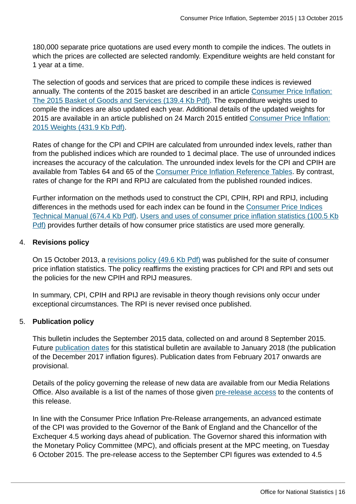180,000 separate price quotations are used every month to compile the indices. The outlets in which the prices are collected are selected randomly. Expenditure weights are held constant for 1 year at a time.

The selection of goods and services that are priced to compile these indices is reviewed annually. The contents of the 2015 basket are described in an article [Consumer Price Inflation:](http://www.ons.gov.uk:80/ons/guide-method/user-guidance/prices/cpi-and-rpi/cpi-and-rpi-basket-of-goods-and-services/cpi-2015-basket-of-goods.pdf) [The 2015 Basket of Goods and Services \(139.4 Kb Pdf\)](http://www.ons.gov.uk:80/ons/guide-method/user-guidance/prices/cpi-and-rpi/cpi-and-rpi-basket-of-goods-and-services/cpi-2015-basket-of-goods.pdf). The expenditure weights used to compile the indices are also updated each year. Additional details of the updated weights for 2015 are available in an article published on 24 March 2015 entitled [Consumer Price Inflation:](http://www.ons.gov.uk:80/ons/guide-method/user-guidance/prices/cpi-and-rpi/cpi-and-rpi--updating-weights/2015.pdf) [2015 Weights \(431.9 Kb Pdf\)](http://www.ons.gov.uk:80/ons/guide-method/user-guidance/prices/cpi-and-rpi/cpi-and-rpi--updating-weights/2015.pdf).

Rates of change for the CPI and CPIH are calculated from unrounded index levels, rather than from the published indices which are rounded to 1 decimal place. The use of unrounded indices increases the accuracy of the calculation. The unrounded index levels for the CPI and CPIH are available from Tables 64 and 65 of the [Consumer Price Inflation Reference Tables](http://www.ons.gov.uk/ons/publications/re-reference-tables.html?edition=tcm%3A77-323657). By contrast, rates of change for the RPI and RPIJ are calculated from the published rounded indices.

Further information on the methods used to construct the CPI, CPIH, RPI and RPIJ, including differences in the methods used for each index can be found in the [Consumer Price Indices](http://www.ons.gov.uk:80/ons/guide-method/user-guidance/prices/cpi-and-rpi/cpi-technical-manual/consumer-price-indices-technical-manual--2014.pdf) [Technical Manual \(674.4 Kb Pdf\).](http://www.ons.gov.uk:80/ons/guide-method/user-guidance/prices/cpi-and-rpi/cpi-technical-manual/consumer-price-indices-technical-manual--2014.pdf) [Users and uses of consumer price inflation statistics \(100.5 Kb](http://www.ons.gov.uk:80/ons/guide-method/user-guidance/prices/cpi-and-rpi/users-and-uses-of-the-consumer-price-inflation-statistics.pdf) [Pdf\)](http://www.ons.gov.uk:80/ons/guide-method/user-guidance/prices/cpi-and-rpi/users-and-uses-of-the-consumer-price-inflation-statistics.pdf) provides further details of how consumer price statistics are used more generally.

#### 4. **Revisions policy**

On 15 October 2013, a [revisions policy \(49.6 Kb Pdf\)](http://www.ons.gov.uk:80/ons/guide-method/user-guidance/prices/cpi-and-rpi/consumer-price-inflation-revisions-policy-october-2013.pdf) was published for the suite of consumer price inflation statistics. The policy reaffirms the existing practices for CPI and RPI and sets out the policies for the new CPIH and RPIJ measures.

In summary, CPI, CPIH and RPIJ are revisable in theory though revisions only occur under exceptional circumstances. The RPI is never revised once published.

#### 5. **Publication policy**

This bulletin includes the September 2015 data, collected on and around 8 September 2015. Future [publication dates](http://www.ons.gov.uk:80/ons/guide-method/user-guidance/prices/cpi-and-rpi/publication-dates/index.html) for this statistical bulletin are available to January 2018 (the publication of the December 2017 inflation figures). Publication dates from February 2017 onwards are provisional.

Details of the policy governing the release of new data are available from our Media Relations Office. Also available is a list of the names of those given [pre-release access](http://www.ons.gov.uk:80/ons/rel/cpi/consumer-price-indices/september-2015/pra-cpi-september-2015.html) to the contents of this release.

In line with the Consumer Price Inflation Pre-Release arrangements, an advanced estimate of the CPI was provided to the Governor of the Bank of England and the Chancellor of the Exchequer 4.5 working days ahead of publication. The Governor shared this information with the Monetary Policy Committee (MPC), and officials present at the MPC meeting, on Tuesday 6 October 2015. The pre-release access to the September CPI figures was extended to 4.5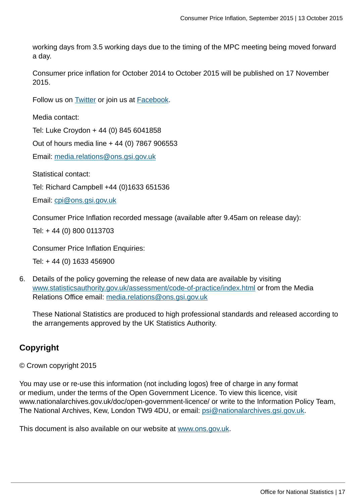working days from 3.5 working days due to the timing of the MPC meeting being moved forward a day.

Consumer price inflation for October 2014 to October 2015 will be published on 17 November 2015.

Follow us on **Twitter** or join us at **Facebook**.

Media contact:

Tel: Luke Croydon + 44 (0) 845 6041858

Out of hours media line + 44 (0) 7867 906553

Email: [media.relations@ons.gsi.gov.uk](mailto:media.relations@ons.gsi.gov.uk)

Statistical contact:

Tel: Richard Campbell +44 (0)1633 651536

Email: [cpi@ons.gsi.gov.uk](mailto:cpi@ons.gsi.gov.uk)

Consumer Price Inflation recorded message (available after 9.45am on release day):

Tel: + 44 (0) 800 0113703

Consumer Price Inflation Enquiries:

Tel: + 44 (0) 1633 456900

6. Details of the policy governing the release of new data are available by visiting [www.statisticsauthority.gov.uk/assessment/code-of-practice/index.html](http://www.statisticsauthority.gov.uk/assessment/code-of-practice/index.html) or from the Media Relations Office email: [media.relations@ons.gsi.gov.uk](mailto:media.relations@ons.gsi.gov.uk)

These National Statistics are produced to high professional standards and released according to the arrangements approved by the UK Statistics Authority.

## **Copyright**

© Crown copyright 2015

You may use or re-use this information (not including logos) free of charge in any format or medium, under the terms of the Open Government Licence. To view this licence, visit www.nationalarchives.gov.uk/doc/open-government-licence/ or write to the Information Policy Team, The National Archives, Kew, London TW9 4DU, or email: [psi@nationalarchives.gsi.gov.uk](mailto:psi@nationalarchives.gsi.gov.uk).

This document is also available on our website at [www.ons.gov.uk.](http://www.ons.gov.uk/)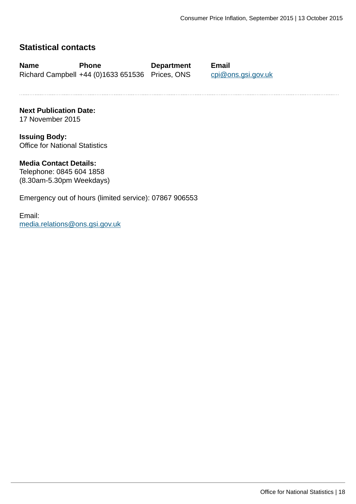## **Statistical contacts**

**Name Phone Department Email** Richard Campbell +44 (0)1633 651536 Prices, ONS [cpi@ons.gsi.gov.uk](mailto:cpi@ons.gsi.gov.uk)

**Next Publication Date:** 17 November 2015

**Issuing Body:** Office for National Statistics

#### **Media Contact Details:**

Telephone: 0845 604 1858 (8.30am-5.30pm Weekdays)

Emergency out of hours (limited service): 07867 906553

Email: [media.relations@ons.gsi.gov.uk](mailto:media.relations@ons.gsi.gov.uk)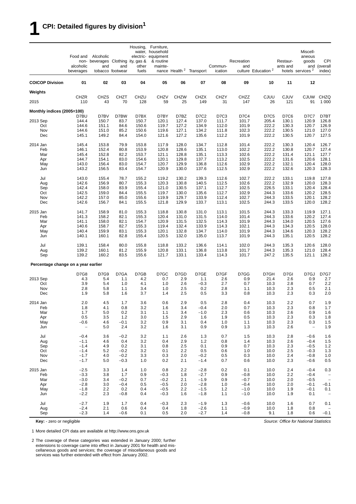## **1 CPI: Detailed figures by division<sup>1</sup>**

|                                     | Food and<br>alcoholic | Alcoholic<br>non- beverages Clothing ity, gas &<br>and | and               | other          | Housing, Furniture,<br>water, household<br>electric- equipment<br>& routine<br>mainte- |                   |                                     | Commun-           | Recreation<br>and |                                | Restaur-<br>ants and | Miscell-<br>aneous<br>goods<br>and | <b>CPI</b><br>(overall   |
|-------------------------------------|-----------------------|--------------------------------------------------------|-------------------|----------------|----------------------------------------------------------------------------------------|-------------------|-------------------------------------|-------------------|-------------------|--------------------------------|----------------------|------------------------------------|--------------------------|
|                                     | beverages             |                                                        | tobacco footwear  | fuels          |                                                                                        |                   | nance Health <sup>2</sup> Transport | ication           |                   | culture Education <sup>2</sup> |                      | hotels services <sup>2</sup>       | index)                   |
| <b>COICOP Division</b>              | 01                    | 02                                                     | 03                | 04             | 05                                                                                     | 06                | 07                                  | 08                | 09                | 10                             | 11                   | 12                                 |                          |
| Weights                             |                       |                                                        |                   |                |                                                                                        |                   |                                     |                   |                   |                                |                      |                                    |                          |
| 2015                                | <b>CHZR</b><br>110    | <b>CHZS</b><br>43                                      | <b>CHZT</b><br>70 | CHZU<br>128    | <b>CHZV</b><br>59                                                                      | <b>CHZW</b><br>25 | <b>CHZX</b><br>149                  | <b>CHZY</b><br>31 | CHZZ<br>147       | CJUU<br>26                     | <b>CJUV</b><br>121   | <b>CJUW</b><br>91                  | CHZQ<br>1 0 0 0          |
| Monthly indices (2005=100)          |                       |                                                        |                   |                |                                                                                        |                   |                                     |                   |                   |                                |                      |                                    |                          |
| 2013 Sep                            | D7BU<br>144.4         | D7BV<br>150.7                                          | D7BW<br>83.7      | D7BX<br>150.7  | D7BY<br>120.1                                                                          | D7BZ<br>127.4     | D7C2<br>137.0                       | D7C3<br>111.7     | D7C4<br>101.7     | <b>D7C5</b><br>205.4           | D7C6<br>130.1        | D7C7<br>120.9                      | D7BT<br>126.8            |
| Oct                                 | 144.6                 | 151.1                                                  | 84.6              | 150.6          | 119.7                                                                                  | 127.2             | 134.9                               | 112.0             | 101.9             | 222.2                          | 130.3                | 120.7                              | 126.9                    |
| Nov                                 | 144.6                 | 151.0                                                  | 85.2              | 150.6          | 119.6                                                                                  | 127.1             | 134.2                               | 111.8             | 102.3             | 222.2                          | 130.5                | 121.0                              | 127.0                    |
| Dec                                 | 145.1                 | 149.2                                                  | 84.4              | 154.0          | 121.6                                                                                  | 127.2             | 135.6                               | 112.2             | 101.9             | 222.2                          | 130.5                | 120.7                              | 127.5                    |
| 2014 Jan                            | 145.4                 | 153.8                                                  | 79.9              | 153.8          | 117.9                                                                                  | 128.0             | 134.7                               | 112.8             | 101.4             | 222.2                          | 130.3                | 120.4                              | 126.7                    |
| Feb                                 | 146.1                 | 152.4                                                  | 80.8              | 153.9          | 120.8                                                                                  | 128.6             | 135.1                               | 113.0             | 102.2             | 222.2                          | 130.8                | 120.7                              | 127.4                    |
| Mar<br>Apr                          | 145.4<br>144.7        | 152.8<br>154.1                                         | 82.2<br>83.0      | 153.7<br>154.6 | 121.1<br>120.1                                                                         | 128.8<br>129.8    | 135.1<br>137.7                      | 113.3<br>113.2    | 102.6<br>102.5    | 222.2<br>222.2                 | 131.4<br>131.6       | 121.1<br>120.6                     | 127.7<br>128.1           |
| May                                 | 143.0                 | 156.4                                                  | 83.0              | 154.7          | 120.7                                                                                  | 129.9             | 136.8                               | 112.6             | 102.9             | 222.2                          | 132.1                | 120.4                              | 128.0                    |
| Jun                                 | 143.2                 | 156.5                                                  | 83.4              | 154.7          | 120.9                                                                                  | 130.0             | 137.6                               | 112.5             | 102.9             | 222.2                          | 132.6                | 120.3                              | 128.3                    |
| Jul                                 | 143.0                 | 155.4                                                  | 78.7              | 155.2          | 119.2                                                                                  | 130.2             | 139.3                               | 112.6             | 102.7             | 222.2                          | 133.1                | 119.8                              | 127.8                    |
| Aug                                 | 142.6                 | 156.9                                                  | 80.7              | 155.3          | 120.3                                                                                  | 130.8             | 140.5                               | 112.5             | 102.6             | 222.2                          | 132.9                | 120.0                              | 128.3                    |
| Sep                                 | 142.4                 | 158.0                                                  | 83.9              | 155.4          | 121.0                                                                                  | 130.5             | 137.1                               | 112.7             | 102.5             | 226.5                          | 133.1                | 120.4                              | 128.4                    |
| Oct<br>Nov                          | 142.5<br>142.2        | 159.0<br>157.0                                         | 84.4<br>85.0      | 155.5<br>155.6 | 119.7<br>119.9                                                                         | 130.0<br>129.7    | 135.6<br>133.9                      | 112.7<br>112.4    | 102.9<br>102.7    | 244.3<br>244.3                 | 133.6<br>133.5       | 120.2<br>120.1                     | 128.5<br>128.2           |
| Dec                                 | 142.6                 | 156.7                                                  | 84.1              | 155.5          | 121.8                                                                                  | 129.9             | 133.7                               | 113.1             | 102.5             | 244.3                          | 133.5                | 120.0                              | 128.2                    |
| 2015 Jan                            | 141.7                 | 158.9                                                  | 81.0              | 155.3          | 118.8                                                                                  | 130.8             | 131.0                               | 113.1             | 101.5             | 244.3                          | 133.3                | 119.9                              | 127.1                    |
| Feb                                 | 141.3                 | 158.2                                                  | 82.1              | 155.3          | 120.4                                                                                  | 131.0             | 131.5                               | 114.0             | 101.4             | 244.3                          | 133.6                | 120.2                              | 127.4                    |
| Mar                                 | 141.1                 | 158.0                                                  | 82.1              | 154.7          | 120.9                                                                                  | 131.5             | 132.5                               | 114.3             | 101.9             | 244.3                          | 134.0                | 120.5                              | 127.6                    |
| Apr                                 | 140.6                 | 158.7                                                  | 82.7              | 155.3          | 119.4                                                                                  | 132.4             | 133.9                               | 114.3             | 102.1             | 244.3                          | 134.3                | 120.5                              | 128.0                    |
| May<br>Jun                          | 140.4<br>140.1        | 159.9<br>160.1                                         | 83.1<br>82.8      | 155.3<br>155.4 | 120.1<br>120.5                                                                         | 132.8<br>132.0    | 134.7<br>135.0                      | 114.0<br>113.7    | 101.9<br>101.9    | 244.3<br>244.3                 | 134.6<br>135.1       | 120.3<br>120.5                     | 128.2<br>128.2           |
| Jul                                 | 139.1                 | 158.4                                                  | 80.0              | 155.8          | 118.8                                                                                  | 133.2             | 136.6                               | 114.1             | 102.0             | 244.3                          | 135.3                | 120.6                              | 128.0                    |
| Aug                                 | 139.2                 | 160.1                                                  | 81.2              | 155.9          | 120.8                                                                                  | 133.1             | 136.8                               | 113.8             | 101.7             | 244.3                          | 135.3                | 121.0                              | 128.4                    |
| Sep                                 | 139.2                 | 160.2                                                  | 83.5              | 155.6          | 121.7                                                                                  | 133.1             | 133.4                               | 114.3             | 101.7             | 247.2                          | 135.5                | 121.1                              | 128.2                    |
| Percentage change on a year earlier |                       |                                                        |                   |                |                                                                                        |                   |                                     |                   |                   |                                |                      |                                    |                          |
|                                     | D7G8                  | D7G9                                                   | D7GA              | D7GB           | D7GC                                                                                   | D7GD              | D7GE                                | D7GF              | D7GG              | D7GH                           | D7GI                 | D7GJ                               | <b>D7G7</b>              |
| 2013 Sep                            | 4.3                   | 5.4                                                    | 1.1               | 4.2            | 0.7                                                                                    | 2.9               | 1.1                                 | 2.6               | 0.9               | 21.4                           | 2.6                  | 0.9                                | 2.7                      |
| Oct                                 | 3.9                   | 5.4                                                    | 1.0               | 4.1            | 1.0                                                                                    | 2.6               | $-0.3$                              | 2.7               | 0.7               | 10.3                           | 2.8                  | 0.7                                | 2.2                      |
| Nov<br>Dec                          | 2.8<br>1.9            | 5.8<br>5.8                                             | 1.1<br>1.6        | 3.4<br>3.7     | 1.0<br>1.4                                                                             | 2.5<br>2.5        | 0.2<br>0.5                          | 2.8<br>3.3        | 1.1<br>0.8        | 10.3<br>10.3                   | 2.3<br>2.3           | 0.5<br>0.3                         | 2.1<br>2.0               |
|                                     |                       |                                                        |                   |                |                                                                                        |                   |                                     |                   |                   |                                |                      |                                    |                          |
| 2014 Jan<br>Feb                     | 2.0                   | 4.5                                                    | 1.7<br>0.8        | 3.6<br>3.2     | 0.6                                                                                    | 2.9               | 0.5<br>$-0.4$                       | 2.8<br>2.0        | 0.4<br>0.7        | 10.3                           | 2.2<br>2.3           | 0.7                                | 1.9<br>1.7               |
| Mar                                 | 1.8<br>1.7            | 4.1<br>5.0                                             | 0.2               | 3.1            | 1.6<br>1.1                                                                             | 3.4<br>3.4        | $-1.0$                              | 2.3               | 0.6               | 10.3<br>10.3                   | 2.6                  | 0.8<br>0.9                         | 1.6                      |
| Apr                                 | 0.5                   | 3.5                                                    | 1.2               | 3.0            | 1.5                                                                                    | 2.9               | 1.6                                 | 1.9               | 0.5               | 10.3                           | 2.3                  | 0.3                                | 1.8                      |
| May                                 | $-0.6$                | 4.6                                                    | $-0.1$            | 3.2            | 0.9                                                                                    | 3.1               | 0.4                                 | 1.0               | 1.1               | 10.3                           | 2.3                  | 0.3                                | 1.5                      |
| Jun                                 | $\qquad \qquad -$     | 5.0                                                    | 2.4               | 3.2            | 1.6                                                                                    | 3.1               | 0.9                                 | 0.9               | 1.3               | 10.3                           | 2.6                  | $\overline{\phantom{0}}$           | 1.9                      |
| Jul                                 | $-0.4$                | 3.6                                                    | $-0.2$            | 3.2            | 1.1                                                                                    | 2.6               | 1.3                                 | 0.7               | 1.5               | 10.3                           | 2.8                  | $-0.6$                             | 1.6                      |
| Aug                                 | $-1.1$                | 4.6                                                    | 0.4               | 3.2            | 0.4                                                                                    | 2.9               | 1.2                                 | 0.8               | 1.4               | 10.3                           | 2.6                  | $-0.4$                             | 1.5                      |
| Sep<br>Oct                          | $-1.4$<br>$-1.4$      | 4.9<br>5.2                                             | 0.2<br>$-0.2$     | 3.1<br>3.2     | 0.8<br>0.1                                                                             | 2.5<br>2.2        | 0.1<br>0.5                          | 0.9<br>0.6        | 0.7<br>1.0        | 10.3<br>10.0                   | 2.3<br>2.5           | $-0.5$<br>$-0.3$                   | 1.2<br>1.3               |
| Nov                                 | $-1.7$                | 4.0                                                    | $-0.2$            | 3.3            | 0.3                                                                                    | 2.0               | $-0.2$                              | 0.5               | 0.3               | 10.0                           | 2.4                  | $-0.8$                             | 1.0                      |
| Dec                                 | $-1.7$                | 5.0                                                    | $-0.3$            | 1.0            | 0.2                                                                                    | 2.1               | $-1.4$                              | 0.7               | 0.6               | 10.0                           | 2.3                  | $-0.6$                             | 0.5                      |
| 2015 Jan                            | $-2.5$                | 3.3                                                    | 1.4               | 1.0            | 0.8                                                                                    | 2.2               | $-2.8$                              | 0.2               | 0.1               | 10.0                           | 2.4                  | $-0.4$                             | 0.3                      |
| Feb                                 | $-3.3$                | 3.8                                                    | 1.7               | 0.9            | $-0.3$                                                                                 | 1.8               | $-2.7$                              | 0.9               | $-0.8$            | 10.0                           | 2.2                  | $-0.4$                             |                          |
| Mar                                 | $-3.0$                | 3.4                                                    | $-0.2$            | 0.7            | $-0.2$                                                                                 | 2.1               | $-1.9$                              | 0.9               | $-0.7$            | 10.0                           | 2.0                  | $-0.5$                             | $\overline{\phantom{0}}$ |
| Apr<br>May                          | $-2.8$<br>$-1.8$      | 3.0<br>2.2                                             | $-0.4$<br>0.2     | 0.5<br>0.4     | $-0.5$<br>$-0.5$                                                                       | 2.0<br>2.2        | $-2.8$<br>$-1.5$                    | 1.0<br>1.2        | $-0.4$<br>$-1.0$  | 10.0<br>10.0                   | 2.0<br>1.9           | $-0.1$<br>$-0.1$                   | $-0.1$<br>0.1            |
| Jun                                 | $-2.2$                | 2.3                                                    | $-0.8$            | 0.4            | $-0.3$                                                                                 | 1.6               | $-1.8$                              | 1.1               | $-1.0$            | 10.0                           | 1.9                  | 0.1                                | $\overline{\phantom{0}}$ |
| Jul                                 | $-2.7$                | 1.9                                                    | 1.7               | 0.4            | $-0.3$                                                                                 | 2.3               | $-1.9$                              | 1.3               | $-0.6$            | 10.0                           | 1.6                  | 0.7                                | 0.1                      |
| Aug                                 | $-2.4$                | 2.1                                                    | 0.6               | 0.4            | 0.4                                                                                    | 1.8               | $-2.6$                              | 1.1               | $-0.9$            | 10.0                           | 1.8                  | 0.8                                |                          |
| Sep                                 | $-2.3$                | 1.4                                                    | $-0.6$            | 0.1            | 0.5                                                                                    | 2.0               | $-2.7$                              | 1.4               | $-0.8$            | 9.1                            | 1.8                  | 0.6                                | $-0.1$                   |

**Key:** - zero or negligible

*Source: Office for National Statistics*

1 More detailed CPI data are available at http://www.ons.gov.uk

2 The coverage of these categories was extended in January 2000; further extensions to coverage came into effect in January 2001 for health and miscellaneous goods and services; the coverage of miscellaneous goods and services was further extended with effect from January 2002.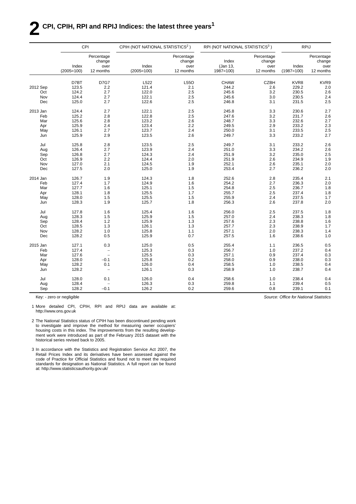## **2 CPI, CPIH, RPI and RPIJ Indices: the latest three years<sup>1</sup>**

|          | CPI                   |                                           | CPIH (NOT NATIONAL STATISTICS <sup>2</sup> ) |                                           | RPI (NOT NATIONAL STATISTICS <sup>3</sup> ) | <b>RPIJ</b>                               |                       |                                           |  |  |
|----------|-----------------------|-------------------------------------------|----------------------------------------------|-------------------------------------------|---------------------------------------------|-------------------------------------------|-----------------------|-------------------------------------------|--|--|
|          | Index<br>$(2005=100)$ | Percentage<br>change<br>over<br>12 months | Index<br>$(2005=100)$                        | Percentage<br>change<br>over<br>12 months | Index<br>(Jan 13,<br>$1987 = 100$           | Percentage<br>change<br>over<br>12 months | Index<br>$(1987=100)$ | Percentage<br>change<br>over<br>12 months |  |  |
|          |                       |                                           |                                              |                                           |                                             |                                           |                       |                                           |  |  |
|          | D7BT                  | <b>D7G7</b>                               | L522                                         | L55O                                      | <b>CHAW</b>                                 | <b>CZBH</b>                               | KVR8                  | KVR9                                      |  |  |
| 2012 Sep | 123.5                 | 2.2                                       | 121.4                                        | 2.1<br>2.5                                | 244.2                                       | 2.6                                       | 229.2                 | 2.0                                       |  |  |
| Oct      | 124.2                 | 2.7                                       | 122.0                                        |                                           | 245.6                                       | 3.2                                       | 230.5                 | 2.6                                       |  |  |
| Nov      | 124.4                 | $2.7\,$                                   | 122.1                                        | 2.5                                       | 245.6                                       | 3.0                                       | 230.5                 | 2.4                                       |  |  |
| Dec      | 125.0                 | 2.7                                       | 122.6                                        | 2.5                                       | 246.8                                       | 3.1                                       | 231.5                 | 2.5                                       |  |  |
| 2013 Jan | 124.4                 | 2.7                                       | 122.1                                        | 2.5                                       | 245.8                                       | 3.3                                       | 230.6                 | 2.7                                       |  |  |
| Feb      | 125.2                 | $2.8\,$                                   | 122.8                                        | 2.5                                       | 247.6                                       | 3.2                                       | 231.7                 | 2.6                                       |  |  |
| Mar      | 125.6                 | 2.8                                       | 123.2                                        | 2.6                                       | 248.7                                       | 3.3                                       | 232.6                 | 2.7                                       |  |  |
| Apr      | 125.9                 | 2.4                                       | 123.4                                        | 2.2                                       | 249.5                                       | 2.9                                       | 233.2                 | 2.3                                       |  |  |
| May      | 126.1                 | 2.7                                       | 123.7                                        | 2.4                                       | 250.0                                       | 3.1                                       | 233.5                 | 2.5                                       |  |  |
| Jun      | 125.9                 | 2.9                                       | 123.5                                        | 2.6                                       | 249.7                                       | 3.3                                       | 233.2                 | 2.7                                       |  |  |
| Jul      | 125.8                 | 2.8                                       | 123.5                                        | 2.5                                       | 249.7                                       | 3.1                                       | 233.2                 | 2.6                                       |  |  |
| Aug      | 126.4                 | 2.7                                       | 123.9                                        | 2.4                                       | 251.0                                       | 3.3                                       | 234.2                 | 2.6                                       |  |  |
| Sep      | 126.8                 | 2.7                                       | 124.3                                        | 2.4                                       | 251.9                                       | 3.2                                       | 235.0                 | $2.\overline{5}$                          |  |  |
| Oct      | 126.9                 | 2.2                                       | 124.4                                        | 2.0                                       | 251.9                                       | 2.6                                       | 234.9                 | 1.9                                       |  |  |
| Nov      | 127.0                 | 2.1                                       | 124.5                                        | 1.9                                       |                                             | 2.6                                       | 235.1                 |                                           |  |  |
|          |                       | 2.0                                       |                                              |                                           | 252.1                                       |                                           |                       | 2.0                                       |  |  |
| Dec      | 127.5                 |                                           | 125.0                                        | 1.9                                       | 253.4                                       | 2.7                                       | 236.2                 | 2.0                                       |  |  |
| 2014 Jan | 126.7                 | 1.9                                       | 124.3                                        | 1.8                                       | 252.6                                       | 2.8                                       | 235.4                 | 2.1                                       |  |  |
| Feb      | 127.4                 | 1.7                                       | 124.9                                        | 1.6                                       | 254.2                                       | 2.7                                       | 236.3                 | 2.0                                       |  |  |
| Mar      | 127.7                 | 1.6                                       | 125.1                                        | 1.5                                       | 254.8                                       | 2.5                                       | 236.7                 | 1.8                                       |  |  |
| Apr      | 128.1                 | 1.8                                       | 125.5                                        | 1.7                                       | 255.7                                       | 2.5                                       | 237.4                 | 1.8                                       |  |  |
| May      | 128.0                 | 1.5                                       | 125.5                                        | 1.5                                       | 255.9                                       | 2.4                                       | 237.5                 | 1.7                                       |  |  |
| Jun      | 128.3                 | 1.9                                       | 125.7                                        | 1.8                                       | 256.3                                       | 2.6                                       | 237.8                 | 2.0                                       |  |  |
| Jul      | 127.8                 | 1.6                                       | 125.4                                        | 1.6                                       | 256.0                                       | 2.5                                       | 237.5                 | 1.8                                       |  |  |
| Aug      | 128.3                 | 1.5                                       | 125.9                                        | 1.5                                       | 257.0                                       | 2.4                                       | 238.3                 | 1.8                                       |  |  |
| Sep      | 128.4                 | 1.2                                       | 125.9                                        | 1.3                                       | 257.6                                       | 2.3                                       | 238.8                 | 1.6                                       |  |  |
| Oct      | 128.5                 | 1.3                                       | 126.1                                        | 1.3                                       | 257.7                                       | 2.3                                       | 238.9                 | 1.7                                       |  |  |
| Nov      | 128.2                 | 1.0                                       | 125.8                                        | 1.1                                       | 257.1                                       | 2.0                                       | 238.3                 | 1.4                                       |  |  |
| Dec      | 128.2                 | 0.5                                       | 125.9                                        | 0.7                                       | 257.5                                       | 1.6                                       | 238.6                 | 1.0                                       |  |  |
| 2015 Jan | 127.1                 | 0.3                                       | 125.0                                        | 0.5                                       | 255.4                                       | 1.1                                       | 236.5                 |                                           |  |  |
|          |                       |                                           |                                              |                                           |                                             |                                           |                       | 0.5                                       |  |  |
| Feb      | 127.4                 |                                           | 125.3                                        | 0.3                                       | 256.7                                       | 1.0                                       | 237.2                 | 0.4                                       |  |  |
| Mar      | 127.6                 | $\overline{\phantom{0}}$                  | 125.5                                        | 0.3                                       | 257.1                                       | 0.9                                       | 237.4                 | $0.3$<br>$0.3$                            |  |  |
| Apr      | 128.0                 | $-0.1$                                    | 125.8                                        | 0.2                                       | 258.0                                       | 0.9                                       | 238.0                 |                                           |  |  |
| May      | 128.2                 | 0.1                                       | 126.0                                        | 0.4                                       | 258.5                                       | 1.0                                       | 238.5                 | 0.4                                       |  |  |
| Jun      | 128.2                 | $\overline{a}$                            | 126.1                                        | 0.3                                       | 258.9                                       | 1.0                                       | 238.7                 | 0.4                                       |  |  |
| Jul      | 128.0                 | 0.1                                       | 126.0                                        | 0.4                                       | 258.6                                       | 1.0                                       | 238.4                 | 0.4                                       |  |  |
| Aug      | 128.4                 |                                           | 126.3                                        | 0.3                                       | 259.8                                       | 1.1                                       | 239.4                 | 0.5                                       |  |  |
| Sep      | 128.2                 | $-0.1$                                    | 126.2                                        | 0.2                                       | 259.6                                       | 0.8                                       | 239.1                 | 0.1                                       |  |  |

Key: - zero or negligible

1 More detailed CPI, CPIH, RPI and RPIJ data are available at: http://www.ons.gov.uk

2 The National Statistics status of CPIH has been discontinued pending work to investigate and improve the method for measuring owner occupiers' housing costs in this index. The improvements from the resulting development work were introduced as part of the February 2015 dataset with the historical series revised back to 2005.

3 In accordance with the Statistics and Registration Service Act 2007, the Retail Prices Index and its derivatives have been assessed against the code of Practice for Official Statistics and found not to meet the required standards for designation as National Statistics. A full report can be found at: http://www.statisticsauthority.gov.uk/

*Source: Office for National Statistics*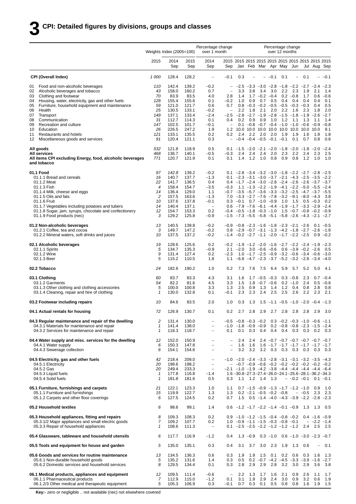|          |                                                                                                    | Weights Index (2005=100) |                | Percentage change<br>over 1 month | Percentage change<br>over 12 months           |                                                      |                                                                                                                                               |                           |                          |                 |                                                                                                                 |                   |                        |                          |               |
|----------|----------------------------------------------------------------------------------------------------|--------------------------|----------------|-----------------------------------|-----------------------------------------------|------------------------------------------------------|-----------------------------------------------------------------------------------------------------------------------------------------------|---------------------------|--------------------------|-----------------|-----------------------------------------------------------------------------------------------------------------|-------------------|------------------------|--------------------------|---------------|
|          |                                                                                                    | 2015                     | 2014<br>Sep    | 2015<br>Sep                       | 2014<br>Sep                                   | Sep                                                  |                                                                                                                                               |                           |                          |                 | Jan Feb Mar Apr May Jun                                                                                         |                   |                        | Jul Aug Sep              |               |
|          | <b>CPI (Overall Index)</b>                                                                         | 1 000                    | 128.4          | 128.2                             | $\overline{\phantom{m}}$                      | $-0.1$                                               | 0.3                                                                                                                                           |                           | $\overline{\phantom{0}}$ | $-0.1$          | 0.1                                                                                                             | $\qquad \qquad -$ | 0.1                    | $\overline{a}$           | $-0.1$        |
| 01       | Food and non-alcoholic beverages                                                                   | 110                      | 142.4          | 139.2                             | $-0.2$                                        | $-$                                                  | $-2.5$                                                                                                                                        |                           |                          |                 | $-3.3$ $-3.0$ $-2.8$ $-1.8$ $-2.2$ $-2.7$ $-2.4$ $-2.3$                                                         |                   |                        |                          |               |
| 02<br>03 | Alcoholic beverages and tobacco<br>Clothing and footwear                                           | 43<br>70                 | 158.0<br>83.9  | 160.2<br>83.5                     | 0.7<br>4.0                                    | $\overline{\phantom{0}}$<br>2.8                      | 3.3<br>1.4                                                                                                                                    | 3.8                       | 3.4<br>$1.7 - 0.2 - 0.4$ | 3.0             | 2.2                                                                                                             | 2.3<br>$0.2 -0.8$ | 1.9<br>1.7             | 2.1<br>0.6               | 1.4<br>$-0.6$ |
| 04       | Housing, water, electricity, gas and other fuels                                                   | 128                      | 155.4          | 155.6                             | 0.1                                           | $-0.2$                                               | 1.0                                                                                                                                           | 0.9                       | 0.7                      | 0.5             | 0.4                                                                                                             | 0.4               | 0.4                    | 0.4                      | 0.1           |
| 05       | Furniture, household equipment and maintenance                                                     | 59                       | 121.0          | 121.7                             | 0.6                                           | 0.7                                                  |                                                                                                                                               |                           |                          |                 | $0.8 -0.3 -0.2 -0.5 -0.5 -0.3 -0.3$                                                                             |                   |                        | 0.4                      | 0.5           |
| 06       | Health                                                                                             | 25                       | 130.5          | 133.1                             | $-0.2$                                        | $\qquad \qquad -$                                    | 2.2                                                                                                                                           | 1.8                       | 2.1                      | 2.0             | 2.2                                                                                                             | 1.6               | 2.3                    | 1.8                      | 2.0           |
| 07<br>08 | Transport<br>Communication                                                                         | 149<br>31                | 137.1<br>112.7 | 133.4<br>114.3                    | $-2.4$<br>0.1                                 | $-2.5$<br>0.4                                        | 0.2                                                                                                                                           | 0.9                       | 0.9                      | 1.0             | $-2.8$ $-2.7$ $-1.9$ $-2.8$ $-1.5$ $-1.8$ $-1.9$<br>1.2                                                         | 1.1               | 1.3                    | $-2.6$<br>1.1            | $-2.7$<br>1.4 |
| 09       | Recreation and culture                                                                             | 147                      | 102.5          | 101.7                             | $-0.1$                                        | $\overline{\phantom{0}}$                             |                                                                                                                                               |                           |                          |                 | $0.1 - 0.8 - 0.7 - 0.4 - 1.0 - 1.0 - 0.6 - 0.9 - 0.8$                                                           |                   |                        |                          |               |
| 10       | Education                                                                                          | 26                       | 226.5          | 247.2                             | 1.9                                           | 1.2                                                  |                                                                                                                                               |                           |                          |                 |                                                                                                                 |                   |                        |                          | 9.1           |
| 11<br>12 | Restaurants and hotels<br>Miscellaneous goods and services                                         | 121<br>91                | 133.1<br>120.4 | 135.5<br>121.1                    | 0.2<br>0.3                                    | 0.2                                                  | 2.4<br>$-$ -0.4 -0.4 -0.5 -0.1 -0.1                                                                                                           | 2.2                       | 2.0                      | 2.0             | 1.9                                                                                                             | 1.9<br>0.1        | 1.6<br>0.7             | 1.8<br>0.8               | 1.8<br>0.6    |
|          | All goods                                                                                          | 532<br>468               | 121.8<br>136.7 | 118.9<br>140.1                    | 0.5<br>$-0.5$                                 |                                                      | 0.1 $-1.5$ $-2.0$ $-2.1$ $-2.0$ $-1.8$ $-2.0$ $-1.8$ $-2.0$ $-2.4$<br>2.4                                                                     | 2.4                       | 2.4                      | 2.0             | 2.3                                                                                                             | 2.2               | 2.4                    |                          | 2.5           |
|          | All services<br>All items CPI excluding Energy, food, alcoholic beverages<br>and tobacco           | 771                      | 120.7          | 121.9                             | 0.1                                           | -0.3<br>0.1                                          | 1.4                                                                                                                                           | 1.2                       | 1.0                      | 0.8             | 0.9                                                                                                             | 0.8               | 1.2                    | 2.3<br>1.0               | 1.0           |
|          | 01.1 Food                                                                                          | 97                       | 142.8          | 139.2                             | $-0.2$                                        |                                                      | 0.1 $-2.8$ $-3.4$ $-3.2$ $-3.0$ $-1.8$ $-2.2$ $-2.7$ $-2.8$ $-2.5$                                                                            |                           |                          |                 |                                                                                                                 |                   |                        |                          |               |
|          | 01.1.1 Bread and cereals                                                                           | 16                       | 140.7          | 137.7                             | $-1.3$                                        |                                                      | $0.1 -2.3 -3.1 -3.0 -3.7 -2.1 -4.3 -2.5 -3.5$                                                                                                 |                           |                          |                 |                                                                                                                 |                   |                        |                          | $-2.2$        |
|          | 01.1.2 Meat<br>01.1.3 Fish                                                                         | 22<br>$\overline{4}$     | 141.7<br>158.4 | 136.5<br>154.7                    | 0.4<br>$-3.5$                                 | $-0.3$                                               | $0.4$ -1.7 -2.4 -3.0 -2.8 -2.4 -2.6 -2.6 -3.7 -3.7                                                                                            |                           |                          |                 | $1.1$ $-1.3$ $-2.2$ $-1.9$ $-4.1$ $-2.2$ $-5.0$ $-5.5$ $-2.4$                                                   |                   |                        |                          |               |
|          | 01.1.4 Milk, cheese and eggs                                                                       | 14                       | 136.4          | 129.0                             | 1.1                                           |                                                      | $-0.7$ $-3.5$ $-5.7$ $-3.6$ $-3.3$ $-3.2$ $-2.5$ $-4.7$ $-3.7$ $-5.5$                                                                         |                           |                          |                 |                                                                                                                 |                   |                        |                          |               |
|          | 01.1.5 Oils and fats                                                                               | 2                        | 157.5          | 163.6                             | $-1.3$                                        |                                                      | $7.0 -3.3 -2.7 -7.6 -7.8 -3.2 -9.1 -8.0 -4.3$                                                                                                 |                           |                          |                 |                                                                                                                 |                   |                        |                          | 3.8           |
|          | 01.1.6 Fruit<br>01.1.7 Vegetables including potatoes and tubers                                    | 10<br>14                 | 137.6<br>140.4 | 137.8<br>137.1                    | $-0.1$<br>$\overline{\phantom{m}}$            |                                                      | $0.3 -0.1$ $0.7 -1.0 -0.9$ 1.0 1.5 0.5 -0.3<br>$0.6$ $-7.9$ $-7.6$ $-6.1$ $-4.4$ $-1.9$ $-1.7$ $-3.3$ $-2.9$ $-2.4$                           |                           |                          |                 |                                                                                                                 |                   |                        |                          | 0.2           |
|          | 01.1.8 Sugar, jam, syrups, chocolate and confectionery                                             | 12                       | 154.7          | 153.3                             | 0.2                                           |                                                      | $-0.4$ $-0.5$ $-1.8$ $-0.3$ $-1.0$ $1.5$ $-0.7$ $-0.8$ $-0.2$ $-0.9$                                                                          |                           |                          |                 |                                                                                                                 |                   |                        |                          |               |
|          | 01.1.9 Food products (nec)                                                                         | 3                        | 129.2          | 125.8                             | -0.9                                          | $-1.5$                                               | $-7.3$ $-5.5$ $-5.8$ $-5.1$ $-5.8$ $-2.6$ $-4.3$ $-2.1$ $-2.7$                                                                                |                           |                          |                 |                                                                                                                 |                   |                        |                          |               |
|          | 01.2 Non-alcoholic beverages                                                                       | 13                       | 140.5          | 139.8                             | $-0.2$                                        |                                                      | $-0.9$ $-0.8$ $-2.3$ $-1.6$ $-1.8$ $-2.3$ $-2.1$ $-2.6$                                                                                       |                           |                          |                 |                                                                                                                 |                   |                        |                          | $0.1 - 0.5$   |
|          | 01.2.1 Coffee, tea and cocoa<br>01.2.2 Mineral waters, soft drinks and juices                      | 3<br>10                  | 149.7<br>137.5 | 147.2<br>137.2                    | $-0.2$<br>$-0.2$                              |                                                      | $0.8$ -2.9 -0.7 -3.1 -1.3 -4.2 -1.8 -2.7 -2.6 -1.6<br>$-1.4$ $-0.2$ $-2.7$ $-1.1$ $-2.0$ $-1.7$ $-2.2$ $-2.5$                                 |                           |                          |                 |                                                                                                                 |                   |                        |                          | $0.9 - 0.2$   |
|          | 02.1 Alcoholic beverages                                                                           | 19                       | 128.6          | 125.6                             | 0.2                                           |                                                      | $-0.2$ $-1.9$ $-1.2$ $-2.0$ $-1.6$ $-2.7$ $-2.2$ $-2.4$ $-1.9$ $-2.3$                                                                         |                           |                          |                 |                                                                                                                 |                   |                        |                          |               |
|          | 02.1.1 Spirits                                                                                     | 5                        | 134.7          | 135.3                             | $-0.9$                                        |                                                      | $2.1 -2.0$                                                                                                                                    |                           | $3.0 -0.6 -0.6$          |                 |                                                                                                                 |                   | $0.6 -3.9 -0.2 -2.6$   |                          | 0.5           |
|          | 02.1.2 Wine<br>02.1.3 Beer                                                                         | 9<br>5                   | 131.4<br>115.2 | 127.4<br>110.5                    | 0.2<br>1.8                                    | $-2.3$<br>1.1                                        |                                                                                                                                               |                           |                          |                 | $1.0 -1.7 -2.5 -0.9 -3.2 -0.6 -3.4 -0.6 -3.0$<br>$-6.8$ $-4.7$ $-2.3$ $-3.7$ $-5.2$ $-3.2$ $-2.6$ $-3.4$ $-4.0$ |                   |                        |                          |               |
|          | 02.2 Tobacco                                                                                       | 24                       | 182.6          | 190.2                             | 1.0                                           | 0.2                                                  | 7.3                                                                                                                                           | 7.6                       | 7.5                      | 6.4             | 5.9                                                                                                             | 5.7               | 5.2                    | 5.0                      | 4.1           |
|          | 03.1 Clothing                                                                                      | 60                       | 83.7           | 83.3                              | 4.3                                           | 3.1                                                  | 1.6                                                                                                                                           |                           | $1.7 - 0.5 - 0.3$        |                 |                                                                                                                 | $0.3 - 0.8$       | 2.3                    |                          | $0.7 - 0.4$   |
|          | 03.1.2 Garments<br>03.1.3 Other clothing and clothing accessories                                  | 54<br>5                  | 82.2<br>100.0  | 81.6<br>100.8                     | 4.5<br>3.3                                    | 3.3<br>1.3                                           | 1.5<br>2.5                                                                                                                                    | 1.8<br>0.9                | $-0.7 -0.6$<br>1.3       | 1.4             | 1.2                                                                                                             | $0.2 -1.0$<br>0.4 | 2.4<br>0.8             | 0.5<br>2.8               | $-0.6$<br>0.8 |
|          | 03.1.4 Cleaning, repair and hire of clothing                                                       | $\mathcal I$             | 130.0          | 132.8                             | 0.1                                           | -0.1                                                 | 2.3                                                                                                                                           | 2.3                       | 2.4                      | 2.5             | 2.5                                                                                                             | 2.6               | 2.2                    | 2.3                      | 2.1           |
|          | 03.2 Footwear including repairs                                                                    | 10                       | 84.6           | 83.5                              | 2.0                                           | 1.0                                                  | 0.3                                                                                                                                           | 1.3                       |                          |                 | $1.5 -1.1 -0.5 -1.0 -2.0 -0.4 -1.3$                                                                             |                   |                        |                          |               |
|          | 04.1 Actual rentals for housing                                                                    | 72                       | 126.9          | 130.7                             | 0.1                                           | 0.2                                                  | 2.7                                                                                                                                           | 2.8                       | 2.9                      | 2.7             | 2.8                                                                                                             | 2.8               | 2.8                    | 2.9                      | 3.0           |
|          | 04.3 Regular maintenance and repair of the dwelling<br>04.3.1 Materials for maintenance and repair | 2<br>$\mathbf{1}$        | 131.4<br>141.4 | 130.0<br>138.0                    | $\overline{\phantom{0}}$<br>$\qquad \qquad -$ |                                                      | $-0.5$ $-0.8$ $-0.3$ $-0.2$ 0.3 $-0.2$ $-0.3$ $-1.0$ $-0.6$ $-1.1$<br>$-1.0$ $-1.8$ $-0.9$ $-0.9$                                             |                           |                          |                 | $0.2 -0.8 -0.8 -2.3 -1.5 -2.4$                                                                                  |                   |                        |                          |               |
|          | 04.3.2 Services for maintenance and repair                                                         | 1                        | 118.3          | 118.7                             | $\overline{\phantom{0}}$                      | 0.1                                                  | 0.1                                                                                                                                           | 0.3                       | 0.4                      |                 | $0.4$ 0.4                                                                                                       |                   | $0.3$ 0.3 0.2          |                          | 0.3           |
|          | 04.4 Water supply and misc. services for the dwelling<br>04.4.1 Water supply                       | 12<br>6                  | 152.0<br>150.3 | 150.9<br>147.8                    | $\qquad \qquad -$<br>$\overline{\phantom{0}}$ | $\overline{\phantom{a}}$<br>$\overline{\phantom{0}}$ | 2.4<br>1.6                                                                                                                                    | 2.4<br>1.6                |                          |                 | $2.4 -0.7 -0.7 -0.7 -0.7 -0.7 -0.7 -0.7$<br>$1.6 -1.7 -1.7 -1.7 -1.7 -1.7 -1.7 -1.7$                            |                   |                        |                          |               |
|          | 04.4.3 Sewerage collection                                                                         | 6                        | 154.1          | 154.6                             | $\overline{\phantom{0}}$                      | $\qquad \qquad -$                                    | 3.2                                                                                                                                           | 3.2                       |                          | $3.2\quad 0.3$  |                                                                                                                 |                   | $0.3$ 0.3 0.3          | 0.3                      | 0.3           |
|          | 04.5 Electricity, gas and other fuels                                                              | 42                       | 218.4          | 209.0                             | $\qquad \qquad -$                             |                                                      | $-1.0$ $-2.0$ $-2.4$ $-3.3$ $-2.8$ $-3.1$ $-3.1$ $-3.2$ $-3.5$ $-4.3$                                                                         |                           |                          |                 |                                                                                                                 |                   |                        |                          |               |
|          | 04.5.1 Electricity                                                                                 | 20                       | 198.6          | 198.2                             | $\overline{\phantom{a}}$                      |                                                      | $-$ -0.7 -0.9 -0.6 -0.2 -0.2 -0.2 -0.2 -0.2 -0.2                                                                                              |                           |                          |                 |                                                                                                                 |                   |                        |                          |               |
|          | 04.5.2 Gas<br>04.5.3 Liquid fuels                                                                  | 20<br>$\mathcal I$       | 249.4<br>177.8 | 233.3<br>116.8                    | $\overline{\phantom{a}}$<br>$-1.4$            |                                                      | $-2.1$ $-1.0$ $-1.9$ $-4.2$ $-3.8$ $-4.4$ $-4.4$ $-4.4$ $-4.4$ $-6.4$<br>$1.6 - 30.8 - 27.3 - 27.4 - 26.0 - 24.1 - 25.6 - 28.1 - 36.2 - 34.3$ |                           |                          |                 |                                                                                                                 |                   |                        |                          |               |
|          | 04.5.4 Solid fuels                                                                                 | $\mathbf{1}$             | 181.8          | 181.6                             | 0.5                                           | 0.3                                                  |                                                                                                                                               | 1.1 1.2 1.4 1.3           |                          |                 |                                                                                                                 |                   | $-$ -0.2 -0.1 0.1 -0.1 |                          |               |
|          |                                                                                                    |                          |                |                                   |                                               |                                                      |                                                                                                                                               |                           |                          |                 |                                                                                                                 |                   |                        |                          |               |
|          | 05.1 Furniture, furnishings and carpets<br>05.1.1 Furniture and furnishings                        | 21<br>15                 | 122.1<br>119.9 | 123.3<br>122.7                    | 1.0<br>1.3                                    | 1.1<br>1.3                                           |                                                                                                                                               | $0.2 -2.1 -0.5 -0.2 -0.8$ |                          |                 | $0.7 -1.5 -0.9 -1.3 -1.7 -1.2 -1.0$ 0.9                                                                         |                   | $- -0.5$ 2.3           |                          | 1.0<br>- 2.3  |
|          | 05.1.2 Carpets and other floor coverings                                                           | 6                        | 127.5          | 124.5                             | 0.2                                           | 0.7                                                  |                                                                                                                                               |                           |                          |                 | 1.5 $0.5 -1.4 -4.0 -4.3 -3.9 -2.2 -2.8 -2.3$                                                                    |                   |                        |                          |               |
|          | 05.2 Household textiles                                                                            | 6                        | 98.6           | 99.1                              | 1.4                                           |                                                      | $0.6$ -1.2 -1.7 -2.2 -1.4 -0.1 -0.9 1.3 1.3                                                                                                   |                           |                          |                 |                                                                                                                 |                   |                        |                          | 0.5           |
|          | 05.3 Household appliances, fitting and repairs                                                     | 8                        | 109.3          | 108.3                             | 0.2                                           |                                                      | $0.9$ -1.0 -1.2 -1.5 -0.4 -0.8 -0.2 0.4 -1.6 -0.9                                                                                             |                           |                          |                 |                                                                                                                 |                   |                        |                          |               |
|          | 05.3.1/2 Major appliances and small electric goods<br>05.3.3 Repair of household appliances        | 7<br>1                   | 109.2<br>108.6 | 107.7<br>111.3                    | 0.2<br>$\overline{\phantom{a}}$               |                                                      | $1.0 -0.9 -1.1 -1.5 -0.3 -0.8 -0.1$<br>$0.1 -2.5 -2.5 -2.2 -1.2 -1.2 -1.2$ 2.4 2.5 2.5                                                        |                           |                          |                 |                                                                                                                 |                   |                        | $-$ -2.2 -1.4            |               |
|          | 05.4 Glassware, tableware and household utensils                                                   | 6                        | 117.7          | 116.9                             | $-1.2$                                        | 0.4                                                  |                                                                                                                                               | $1.3 -0.9$                |                          |                 | $0.3 -1.0$ $0.6 -1.0 -3.0 -2.3 -0.7$                                                                            |                   |                        |                          |               |
|          | 05.5 Tools and equipment for house and garden                                                      | 5                        | 135.0          | 135.1                             | 0.3                                           | 0.4                                                  | 3.1                                                                                                                                           | 3.7                       | 3.0                      | 2.3             | 1.9                                                                                                             | 1.3               | 0.6                    | $\overline{\phantom{0}}$ | 0.1           |
|          | 05.6 Goods and services for routine maintenance                                                    | 13                       | 134.5          | 136.3                             | 0.6                                           | 0.3                                                  | 1.9                                                                                                                                           | 1.9                       | 1.5                      | 0.1             | 0.2                                                                                                             | 0.6               | 0.3                    | 1.6                      | 1.3           |
|          | 05.6.1 Non-durable household goods<br>05.6.2 Domestic services and household services              | 5<br>8                   | 135.2<br>129.5 | 131.6<br>134.4                    | 1.4<br>0.1                                    | 0.3<br>0.3                                           | 0.5<br>2.8                                                                                                                                    | 2.9                       | 2.9                      | 2.8             | $0.2 -0.7 -4.2 -4.5 -3.3 -3.9 -1.6$<br>3.2                                                                      | 3.0               | 2.9                    | 3.6                      | $-2.7$<br>3.8 |
|          | 06.1 Medical products, appliances and equipment                                                    | 12                       | 109.5          | 111.4                             | $-0.6$                                        | $\overline{\phantom{a}}$                             | 2.2                                                                                                                                           | 1.3                       | 1.7                      | 1.6             | 2.1                                                                                                             | 0.9               | 2.6                    | 1.1                      | 1.7           |
|          | 06.1.1 Pharmaceutical products                                                                     | 7                        | 112.9          | 115.0                             | $-1.2$                                        | 0.1                                                  | 3.1                                                                                                                                           | 1.9                       | 2.9                      | 2.4             | 3.0                                                                                                             | 0.9               | 3.2                    | 0.6                      | 1.9           |
|          | 06.1.2/3 Other medical and therapeutic equipment                                                   | 5                        | 105.3          | 106.9                             | 0.3                                           | $-0.1$                                               | 0.7                                                                                                                                           | 0.3                       |                          | $0.1 \quad 0.5$ | 0.8                                                                                                             |                   | $0.8$ 1.6              | 1.9                      | 1.5           |

**Key:**- zero or negligible .. not available (nec) not elsewhere covered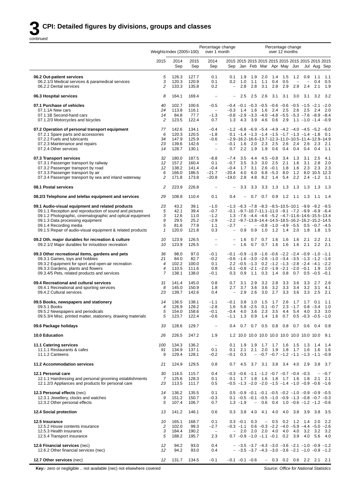|                                                                                                                                                                                                                                                                                                       | Percentage change<br>Percentage change<br>Weights Index (2005=100)<br>over 1 month<br>over 12 months |                                               |                                               |                                                                                    |                                                  |                                  |                                  |                          |                                                        |                                                                                                                                                                                                                                                                                                                                    |                                 |                                        |                                                   |                          |
|-------------------------------------------------------------------------------------------------------------------------------------------------------------------------------------------------------------------------------------------------------------------------------------------------------|------------------------------------------------------------------------------------------------------|-----------------------------------------------|-----------------------------------------------|------------------------------------------------------------------------------------|--------------------------------------------------|----------------------------------|----------------------------------|--------------------------|--------------------------------------------------------|------------------------------------------------------------------------------------------------------------------------------------------------------------------------------------------------------------------------------------------------------------------------------------------------------------------------------------|---------------------------------|----------------------------------------|---------------------------------------------------|--------------------------|
|                                                                                                                                                                                                                                                                                                       | 2015                                                                                                 | 2014<br>Sep                                   | 2015<br>Sep                                   | 2014<br>Sep                                                                        | Sep                                              |                                  | Jan Feb Mar                      |                          |                                                        | Apr May Jun                                                                                                                                                                                                                                                                                                                        |                                 |                                        | Jul Aug Sep                                       |                          |
| 06.2 Out-patient services<br>06.2.1/3 Medical services & paramedical services<br>06.2.2 Dental services                                                                                                                                                                                               | 5<br>3<br>$\overline{c}$                                                                             | 126.3<br>120.3<br>133.3                       | 127.7<br>120.9<br>135.8                       | 0.1<br>0.1<br>0.2                                                                  | 0.1<br>0.2<br>$\qquad \qquad -$                  | 1.9<br>1.0<br>2.8                | 1.9<br>1.1<br>2.8                | 2.0<br>1.1<br>3.1        | 1.4<br>0.4<br>2.8                                      | 1.5<br>0.5<br>2.9                                                                                                                                                                                                                                                                                                                  | 1.2<br>2.9                      | 0.9<br>$\overline{\phantom{0}}$<br>2.4 | 1.1<br>0.4<br>2.1                                 | 1.1<br>0.5<br>1.9        |
| 06.3 Hospital services                                                                                                                                                                                                                                                                                | 8                                                                                                    | 164.1                                         | 169.4                                         |                                                                                    |                                                  | 2.5                              | 2.5                              | 2.6                      | 3.1                                                    | 3.1                                                                                                                                                                                                                                                                                                                                | 3.0                             | 3.1                                    | 3.2                                               | 3.2                      |
| 07.1 Purchase of vehicles<br>07.1.1A New cars<br>07.1.1B Second-hand cars<br>07.1.2/3 Motorcycles and bicycles                                                                                                                                                                                        | 40<br>24<br>14<br>2                                                                                  | 102.7<br>113.8<br>84.8<br>123.5               | 100.6<br>116.1<br>77.7<br>122.4               | $-0.5$<br>$\overline{\phantom{m}}$<br>$-1.3$<br>0.7                                | $-0.3$<br>1.3                                    | 1.4<br>4.3                       | 1.6<br>3.9                       | 1.6<br>4.6               | 2.4<br>0.6                                             | $-0.4$ $-0.1$ $-0.3$ $-0.5$ $-0.6$ $-0.6$ $-0.5$ $-1.5$ $-2.1$ $-2.0$<br>2.5<br>$-0.8$ $-2.9$ $-3.3$ $-4.0$ $-4.8$ $-5.5$ $-5.3$ $-7.6$ $-8.9$ $-8.4$<br>2.9                                                                                                                                                                       | 2.6                             | 2.5                                    | 2.4<br>$1.1 - 1.0 - 1.4 - 0.9$                    | 2.0                      |
| 07.2 Operation of personal transport equipment<br>07.2.1 Spare parts and accessories<br>07.2.2 Fuels and lubricants<br>07.2.3 Maintenance and repairs<br>07.2.4 Other services                                                                                                                        | 77<br>6<br>34<br>23<br>14                                                                            | 142.6<br>120.3<br>147.9<br>139.6<br>128.7     | 134.1<br>120.5<br>125.9<br>142.6<br>130.1     | $-0.4$<br>$-1.8$<br>$-0.6$<br>$\overline{\phantom{m}}$<br>$\overline{\phantom{0}}$ | $-0.1$<br>0.7                                    | 1.6<br>2.2                       | 2.0 2.3 2.5<br>1.9               | 1.9                      | 0.6                                                    | $-1.2$ $-6.8$ $-6.9$ $-5.4$ $-4.9$ $-4.2$ $-4.0$ $-4.5$ $-5.2$ $-6.0$<br>$0.1 -1.4 -1.3 -1.4 -1.5 -1.7 -1.3 -1.4 -1.8$<br>$-2.9 - 16.2 - 16.6 - 13.7 - 12.3 - 11.0 - 10.5 - 11.4 - 12.9 - 14.9$<br>2.6<br>0.4                                                                                                                      | 0.4                             | 0.4                                    | 2.4 2.6 2.3<br>0.4                                | 0.1<br>2.1<br>1.1        |
| 07.3 Transport services<br>07.3.1 Passenger transport by railway<br>07.3.2 Passenger transport by road<br>07.3.3 Passenger transport by air<br>07.3.4 Passenger transport by sea and inland waterway                                                                                                  | 32<br>12<br>12<br>6<br>2                                                                             | 180.0<br>157.2<br>138.2<br>166.0<br>171.8     | 187.5<br>160.4<br>141.4<br>186.5<br>173.8     | $-8.8$<br>0.1<br>$-0.4$<br>$-21.7$<br>$-20.8$                                      | $-7.4$<br>$-0.7$<br>$-0.4$<br>$-20.4$<br>$-19.0$ | 3.5<br>3.5<br>1.7<br>4.0<br>2.8  | 4.4<br>3.3<br>3.1<br>6.0<br>4.8  | 3.0<br>8.2               | $4.5 - 0.8$<br>2.5<br>$2.6 -0.1$<br>$6.8 - 5.3$<br>1.4 | 3.4<br>2.1<br>1.8<br>8.0<br>5.4                                                                                                                                                                                                                                                                                                    | 1.3<br>1.6<br>1.6<br>1.2<br>2.2 | 3.1<br>3.1<br>2.3                      | 2.5<br>2.8<br>2.3<br>8.0 10.5 12.3<br>$2.4 - 1.2$ | 4.1<br>2.0<br>2.3<br>1.1 |
| 08.1 Postal services                                                                                                                                                                                                                                                                                  | 2                                                                                                    | 223.9                                         | 226.8                                         | $\overline{\phantom{a}}$                                                           |                                                  | 3.3                              | 3.3                              | 3.3                      | 1.3                                                    | 1.3                                                                                                                                                                                                                                                                                                                                | 1.3                             | 1.3                                    | - 1.3                                             | - 1.3                    |
| 08.2/3 Telephone and telefax equipment and services                                                                                                                                                                                                                                                   | 29                                                                                                   | 108.8                                         | 110.4                                         | 0.1                                                                                | 0.4                                              | $\overline{\phantom{0}}$         | 0.7                              | 0.7                      | 0.9                                                    | 1.2                                                                                                                                                                                                                                                                                                                                | 1.1                             | 1.3                                    | 1.1                                               | 1.4                      |
| 09.1 Audio-visual equipment and related products<br>09.1.1 Reception and reproduction of sound and pictures<br>09.1.2 Photographic, cinematographic and optical equipment<br>09.1.3 Data processing equipment<br>09.1.4 Recording media<br>09.1.5 Repair of audio-visual equipment & related products | 23<br>5<br>3<br>9<br>5<br>$\mathbf{1}$                                                               | 43.2<br>42.1<br>12.6<br>29.5<br>81.6<br>120.0 | 39.1<br>39.4<br>11.0<br>25.2<br>77.9<br>121.8 | $-1.0$<br>$-0.7$<br>$-1.2$<br>$-2.9$<br>1.1<br>0.3                                 | $-2.7$<br>$\overline{\phantom{a}}$               | $\overline{\phantom{0}}$<br>0.9  | 0.9                              |                          |                                                        | $-1.3$ $-6.3$ $-7.8$ $-8.3$ $-8.5$ $-10.5$ $-10.1$ $-9.9$ $-9.2$ $-9.5$<br>$-0.1$ $-9.7-10.7-11.1-11.0$ $-9.1$ $-7.2$ $-9.9$ $-6.9$ $-6.4$<br>$1.3 - 7.6 - 4.4 - 4.6 - 5.2 - 4.7 - 11.6 - 14.6 - 15.5 - 13.4$<br>$-2.2$ $-9.7-13.8-14.4-14.5-18.5-16.2-16.2-15.2-14.5$<br>$-$ -0.8 -1.0 -4.9 -5.5 0.5 -0.7 -4.5<br>1.0 1.2 1.4 2.0 |                                 |                                        | 1.8 1.8                                           | 1.5                      |
| 09.2 Oth. major durables for recreation & culture<br>09.2.1/2 Major durables for in/outdoor recreation                                                                                                                                                                                                | 10<br>10                                                                                             | 123.9<br>123.9                                | 126.5<br>126.5                                | $\qquad \qquad -$                                                                  | $\overline{\phantom{0}}$                         | 1.6<br>1.6                       | 0.7<br>0.7                       | 0.7<br>0.7               | 1.6<br>1.6                                             | 1.6<br>1.6                                                                                                                                                                                                                                                                                                                         | 1.6<br>1.6                      | 2.1<br>2.1                             | 2.2<br>2.2                                        | 2.1<br>2.1               |
| 09.3 Other recreational items, gardens and pets<br>09.3.1 Games, toys and hobbies<br>09.3.2 Equipment for sport and open-air recreation<br>09.3.3 Gardens, plants and flowers<br>09.3.4/5 Pets, related products and services                                                                         | 36<br>21<br>$\overline{4}$<br>$\overline{4}$<br>$\overline{7}$                                       | 98.0<br>84.0<br>102.2<br>110.5<br>138.1       | 97.0<br>82.7<br>100.0<br>111.6<br>138.0       | $-0.1$<br>$-0.2$<br>0.1<br>0.8<br>$-0.1$                                           | 0.3                                              | 0.9                              |                                  | 1.1 0.3 1.4              |                                                        | $-0.1$ $-0.9$ $-1.9$ $-1.6$ $-0.6$ $-2.2$ $-2.4$ $-0.9$ $-1.0$ $-1.1$<br>$-0.6$ $-1.6$ $-3.0$ $-2.6$ $-1.0$ $-3.4$ $-3.5$ $-1.3$ $-1.2$ $-1.6$<br>$2.2 -0.5 -1.3$ 0.2 $-1.2 -1.3 -2.8 -2.4 -4.1 -2.2$<br>$-0.1$ $-0.8$ $-2.1$ $-2.0$ $-1.9$ $-2.1$ $-2.0$ $-0.1$<br>0.8                                                            |                                 |                                        | 1.9<br>$0.7$ $0.5$ $-0.5$ $-0.1$                  | 1.0                      |
| 09.4 Recreational and cultural services<br>09.4.1 Recreational and sporting services<br>09.4.2 Cultural services                                                                                                                                                                                      | 31<br>8<br>23                                                                                        | 141.4<br>145.0<br>139.7                       | 145.0<br>150.9<br>142.6                       | 0.8<br>1.8<br>0.4                                                                  | 0.7<br>2.7<br>$\qquad \qquad -$                  | 3.1<br>3.7<br>2.9                | 2.9<br>3.6<br>2.6                | 3.2<br>3.6<br>3.0        | 2.8<br>3.2<br>2.7                                      | 3.3<br>3.3<br>3.3                                                                                                                                                                                                                                                                                                                  | 3.6<br>3.4<br>3.6               | 3.3<br>3.2<br>3.3                      | 2.7<br>3.1<br>2.5                                 | 2.6<br>4.1<br>2.1        |
| 09.5 Books, newspapers and stationery<br>09.5.1 Books<br>09.5.2 Newspapers and periodicals<br>09.5.3/4 Misc. printed matter, stationery, drawing materials                                                                                                                                            | 14<br>$\overline{4}$<br>5<br>5                                                                       | 136.5<br>126.9<br>154.0<br>123.7              | 138.1<br>128.2<br>158.6<br>122.4              | $-1.1$<br>$-2.8$<br>$-0.1$<br>$-0.6$                                               | $-0.1$<br>1.6<br>$-0.4$<br>$-1.1$                | 3.8<br>4.0<br>1.3                | 1.0<br>$5.8 - 2.5$<br>3.6<br>0.9 | 1.5<br>2.3               | 1.7<br>$0.1 - 0.7$<br>3.5                              | 2.6<br>4.4<br>$1.4$ 1.6 0.7 0.5 -0.3 -0.5 -1.0                                                                                                                                                                                                                                                                                     | 1.7<br>$2.3 - 1.7$<br>5.4       | 1.7<br>4.0                             | 0.1<br>$0.8 - 3.4$<br>3.3                         | 1.1<br>1.0<br>3.0        |
| 09.6 Package holidays                                                                                                                                                                                                                                                                                 | 33                                                                                                   | 128.6                                         | 129.7                                         |                                                                                    | 0.4                                              | 0.7                              |                                  |                          |                                                        | $0.7$ 0.5 0.8 0.8                                                                                                                                                                                                                                                                                                                  |                                 | $0.7\quad 0.6$                         | 0.4                                               | 0.8                      |
| <b>10.0 Education</b>                                                                                                                                                                                                                                                                                 | 26                                                                                                   | 226.5                                         | 247.2                                         | 1.9                                                                                |                                                  |                                  |                                  |                          |                                                        |                                                                                                                                                                                                                                                                                                                                    |                                 |                                        |                                                   | 9.1                      |
| 11.1 Catering services<br>11.1.1 Restaurants & cafes<br>11.1.2 Canteens                                                                                                                                                                                                                               | 100<br>91<br>9                                                                                       | 134.3<br>134.9<br>129.4                       | 136.2<br>137.1<br>128.1                       | $\overline{\phantom{a}}$<br>0.1<br>$-0.2$                                          | 0.1<br>0.1<br>$-0.1$                             | 1.9<br>2.1<br>0.3                | 1.9<br>2.1                       | 2.0                      | 1.9                                                    | 1.7 1.7 1.6 1.5<br>1.8<br>$-$ -0.7 -0.7 -1.2 -1.1 -1.3 -1.1 -0.9                                                                                                                                                                                                                                                                   | 1.7                             | 1.6                                    | $1.3$ 1.4<br>- 1.6                                | 1.4<br>- 1.6             |
| 11.2 Accommodation services                                                                                                                                                                                                                                                                           | 21                                                                                                   | 124.9                                         | 129.5                                         | 0.8                                                                                | 0.7                                              | 4.5                              |                                  | 3.7 3.1                  | 3.8                                                    |                                                                                                                                                                                                                                                                                                                                    | 3.4 4.0                         | 2.9                                    | 3.8                                               | 3.7                      |
| 12.1 Personal care<br>12.1.1 Hairdressing and personal grooming establishments<br>12.1.2/3 Appliances and products for personal care                                                                                                                                                                  | 30<br>$\overline{7}$<br>23                                                                           | 116.5<br>125.6<br>113.5                       | 115.7<br>128.3<br>111.7                       | 0.4<br>0.1<br>0.5                                                                  | 0.1                                              |                                  |                                  |                          |                                                        | $-0.3$ $-0.6$ $-1.1$ $-1.2$ $-0.7$ $-0.7$ $-0.4$ $-0.3$<br>1.7 1.8 1.6 1.8 1.7 1.6 1.8<br>$-0.5$ $-1.3$ $-2.0$ $-2.0$ $-1.5$ $-1.4$ $-1.0$ $-0.9$ $-0.6$ $-1.6$                                                                                                                                                                    |                                 |                                        | 2.1                                               | $- -0.7$<br>2.1          |
| 12.3 Personal effects (nec)<br>12.3.1 Jewellery, clocks and watches<br>12.3.2 Other personal effects                                                                                                                                                                                                  | 14<br>9<br>5                                                                                         | 136.2<br>151.2<br>107.4                       | 135.5<br>150.7<br>106.7                       | 0.1<br>$-0.3$<br>0.7                                                               |                                                  | $1.3 - 1.9$                      |                                  |                          |                                                        | $0.5 -0.9 -0.1 -0.1 -0.5 -0.2 -1.0 -0.9 -0.9 -0.5$<br>$0.1 - 0.5 - 0.1 - 0.5 - 1.0 - 0.9 - 1.3 - 0.8 - 0.7 - 0.3$<br>$-$ 0.6 0.4 1.0 -0.6 -1.2 -1.2 -0.6                                                                                                                                                                           |                                 |                                        |                                                   |                          |
| 12.4 Social protection                                                                                                                                                                                                                                                                                | 13                                                                                                   | 141.2                                         | 146.1                                         | 0.6                                                                                | 0.3                                              | 3.8                              | 4.0                              | 4.1                      | 4.0                                                    | 4.0                                                                                                                                                                                                                                                                                                                                | 3.8                             |                                        | 3.9 3.8                                           | - 3.5                    |
| 12.5 Insurance<br>12.5.2 House contents insurance<br>12.5.3 Health insurance<br>12.5.4 Transport insurance                                                                                                                                                                                            | 10<br>$\sqrt{2}$<br>3<br>5                                                                           | 165.1<br>102.0<br>184.4<br>188.2              | 168.7<br>99.3<br>190.2<br>195.7               | 0.1<br>$-2.7$<br>$\overline{\phantom{m}}$<br>2.3                                   | $-$                                              | $0.3 -0.1$<br>$-0.3 -1.1$<br>2.0 | 0.3                              | $\overline{\phantom{a}}$ |                                                        | $0.5$ 0.2 1.2<br>$0.6 -0.3 -2.2 -4.0 -5.9 -4.4 -5.0 -2.6$<br>2.0 2.0 4.0 4.0<br>$0.7 -0.9 -1.0 -1.1 -0.1$ 0.2                                                                                                                                                                                                                      | 4.0<br>3.9                      | 4.0                                    | 1.4 2.0<br>$3.2$ $3.2$<br>5.6                     | 2.2<br>3.2<br>4.0        |
| 12.6 Financial services (nec)<br>12.6.2 Other financial services (nec)                                                                                                                                                                                                                                | 12<br>12                                                                                             | 94.2<br>94.2                                  | 93.0<br>93.0                                  | 0.4<br>0.4                                                                         |                                                  |                                  |                                  |                          |                                                        | $-$ -3.5 -3.7 -4.3 -3.0 -3.6 -2.1 -1.0 -0.9 -1.2<br>$-$ -3.5 -3.7 -4.3 -3.0 -3.6 -2.1 -1.0 -0.9 -1.2                                                                                                                                                                                                                               |                                 |                                        |                                                   |                          |
| 12.7 Other services (nec)                                                                                                                                                                                                                                                                             | 12                                                                                                   | 131.7                                         | 134.5                                         | $-0.1$                                                                             |                                                  | $-0.1$ $-0.1$ $-0.6$             |                                  |                          |                                                        | $-$ 0.3 0.2 0.6 2.2 2.1 2.1                                                                                                                                                                                                                                                                                                        |                                 |                                        |                                                   |                          |
| Key:- zero or negligible  not available (nec) not elsewhere covered                                                                                                                                                                                                                                   |                                                                                                      |                                               |                                               |                                                                                    |                                                  |                                  |                                  |                          |                                                        | Source: Office for National Statistics                                                                                                                                                                                                                                                                                             |                                 |                                        |                                                   |                          |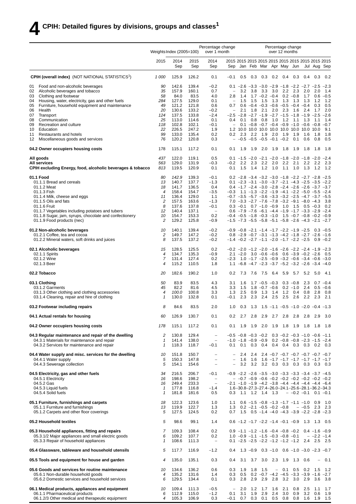|          |                                                                                                                                       | Weights Index (2005=100)  |                         |                         | Percentage change<br>over 1 month  |                                    |                                     |                      |                  |                          | Percentage change<br>over 12 months                                                                                                           |                   |            |                          |               |
|----------|---------------------------------------------------------------------------------------------------------------------------------------|---------------------------|-------------------------|-------------------------|------------------------------------|------------------------------------|-------------------------------------|----------------------|------------------|--------------------------|-----------------------------------------------------------------------------------------------------------------------------------------------|-------------------|------------|--------------------------|---------------|
|          |                                                                                                                                       | 2015                      | 2014<br>Sep             | 2015<br>Sep             | 2014<br>Sep                        | Sep                                |                                     |                      |                  |                          | Jan Feb Mar Apr May Jun                                                                                                                       |                   |            | Jul Aug Sep              |               |
|          | <b>CPIH (overall index)</b> (NOT NATIONAL STATISTICS <sup>1</sup> )                                                                   | 1 000                     | 125.9                   | 126.2                   | 0.1                                | $-0.1$                             | 0.5                                 | 0.3                  | 0.3              | 0.2                      | 0.4                                                                                                                                           | 0.3               | 0.4        | 0.3                      | 0.2           |
| 01       | Food and non-alcoholic beverages                                                                                                      | 90                        | 142.6                   | 139.4                   | $-0.2$                             |                                    |                                     |                      |                  |                          | 0.1 $-2.6$ $-3.3$ $-3.0$ $-2.9$ $-1.8$ $-2.2$ $-2.7$ $-2.5$ $-2.3$                                                                            |                   |            |                          |               |
| 02       | Alcoholic beverages and tobacco                                                                                                       | 35                        | 157.9                   | 160.1                   | 0.7                                |                                    | 3.2                                 | 3.8                  | 3.3              | 3.0                      | 2.2                                                                                                                                           | 2.3               | 2.0        | 2.0                      | 1.4           |
| 03<br>04 | Clothing and footwear<br>Housing, water, electricity, gas and other fuels                                                             | 58<br>284                 | 84.0<br>127.5           | 83.5<br>129.0           | 4.0<br>0.1                         | 2.8<br>$\qquad \qquad -$           | 1.4<br>1.5                          | 1.5                  | - 1.5            | $1.7 -0.2 -0.4$<br>1.3   | 1.3                                                                                                                                           | $0.2 -0.8$<br>1.3 | 1.7<br>1.3 | 0.6<br>1.2               | $-0.5$<br>1.2 |
| 05       | Furniture, household equipment and maintenance                                                                                        | 49                        | 121.2                   | 121.8                   | 0.6                                | 0.7                                |                                     |                      |                  |                          | $0.6 -0.4 -0.3 -0.6 -0.5 -0.4 -0.4$                                                                                                           |                   |            | 0.3                      | 0.5           |
| 06       | Health                                                                                                                                | 20                        | 130.6                   | 133.2                   | $-0.2$                             |                                    | 2.1                                 | 1.8                  | 2.1              | 2.0                      | 2.3                                                                                                                                           | 1.6               | 2.4        | 1.7                      | 2.0           |
| 07<br>08 | Transport<br>Communication                                                                                                            | 124<br>25                 | 137.5<br>113.0          | 133.8<br>114.6          | $-2.4$<br>0.1                      | 0.4                                | 0.1                                 | 0.8                  | 0.8              | 1.0                      | $-2.5$ $-2.8$ $-2.7$ $-1.9$ $-2.7$ $-1.5$ $-1.8$ $-1.9$ $-2.5$<br>$1.2$ 1.1                                                                   |                   | 1.3        | 1.1                      | $-2.6$<br>1.4 |
| 09       | Recreation and culture                                                                                                                | 118                       | 102.8                   | 102.1                   | $-0.1$                             |                                    |                                     |                      |                  |                          | $0.1 - 0.8 - 0.7 - 0.4 - 0.9 - 1.0 - 0.6 - 0.8 - 0.7$                                                                                         |                   |            |                          |               |
| 10       | Education                                                                                                                             | 22                        | 226.5                   | 247.2                   | 1.9                                |                                    |                                     |                      |                  |                          |                                                                                                                                               |                   |            |                          | 9.1           |
| 11<br>12 | Restaurants and hotels<br>Miscellaneous goods and services                                                                            | 99<br>76                  | 133.0<br>120.2          | 135.4<br>120.8          | 0.2<br>0.3                         | 0.2                                | 2.3<br>$-$ -0.5 -0.5 -0.5 -0.1 -0.2 | 2.2                  | 1.9              | 2.0                      | 1.9                                                                                                                                           | 1.9<br>0.1        | 1.6<br>0.6 | 1.8<br>0.8               | 1.8<br>0.5    |
|          | 04.2 Owner occupiers housing costs                                                                                                    | 178                       | 115.1                   | 117.2                   | 0.1                                | 0.1                                | 1.9                                 | 1.9                  | 2.0              | 1.9                      | 1.8                                                                                                                                           | 1.9               | 1.8        | 1.8                      | 1.8           |
|          | All goods                                                                                                                             | 437                       | 122.0                   | 119.1                   | 0.5                                |                                    |                                     |                      |                  |                          | $0.1$ $-1.5$ $-2.0$ $-2.1$ $-2.0$ $-1.8$ $-2.0$ $-1.8$ $-2.0$ $-2.4$                                                                          |                   |            |                          |               |
|          | <b>All services</b>                                                                                                                   | 563                       | 129.0                   | 131.9                   | $-0.3$                             | $-0.2$                             | 2.2                                 | 2.3                  | 2.2              | 2.0                      | 2.2                                                                                                                                           | 2.1               | 2.2        | 2.2                      | 23            |
|          | CPIH excluding Energy, food, alcoholic beverages & tobacco                                                                            | 813                       | 119.5                   | 120.9                   | 0.1                                | 0.1                                | 1.5                                 | 1.4                  | 1.2              | 1.0                      | 1.1                                                                                                                                           | 1.0               | 1.3        | 1.2                      | 1.2           |
|          | 01.1 Food<br>01.1.1 Bread and cereals                                                                                                 | 80<br>13                  | 142.9<br>140.7          | 139.3<br>137.7          | $-0.1$<br>$-1.3$                   |                                    |                                     |                      |                  |                          | $0.2 -2.8 -3.4 -3.2 -3.0 -1.8 -2.2 -2.7 -2.8 -2.5$<br>$0.1 -2.3 -3.1 -3.0 -3.7 -2.1 -4.3 -2.5 -3.5 -2.2$                                      |                   |            |                          |               |
|          | 01.1.2 Meat                                                                                                                           | 18                        | 141.7                   | 136.5                   | 0.4                                |                                    |                                     |                      |                  |                          | $0.4$ $-1.7$ $-2.4$ $-3.0$ $-2.8$ $-2.4$ $-2.6$ $-2.6$ $-3.7$ $-3.7$                                                                          |                   |            |                          |               |
|          | 01.1.3 Fish                                                                                                                           | 4                         | 158.4                   | 154.7                   | $-3.5$                             |                                    |                                     |                      |                  |                          | $-0.3$ 1.1 $-1.3$ $-2.2$ $-1.9$ $-4.1$ $-2.2$ $-5.0$ $-5.5$ $-2.4$                                                                            |                   |            |                          |               |
|          | 01.1.4 Milk, cheese and eggs                                                                                                          | 11                        | 136.4                   | 129.0                   | 1.1                                |                                    |                                     |                      |                  |                          | $-0.7$ $-3.5$ $-5.7$ $-3.6$ $-3.3$ $-3.2$ $-2.5$ $-4.7$ $-3.7$ $-5.5$                                                                         |                   |            |                          |               |
|          | 01.1.5 Oils and fats<br>01.1.6 Fruit                                                                                                  | 2<br>8                    | 157.5<br>137.6          | 163.6<br>137.8          | $-1.3$<br>$-0.1$                   |                                    |                                     |                      |                  |                          | $7.0 -3.3 -2.7 -7.6 -7.8 -3.2 -9.1 -8.0 -4.3$<br>$0.3 -0.1$ 0.7 $-1.0 -0.9$ 1.0 1.5 0.5 $-0.3$                                                |                   |            |                          | 3.8<br>0.2    |
|          | 01.1.7 Vegetables including potatoes and tubers                                                                                       | 12                        | 140.4                   | 137.1                   | $\overline{\phantom{a}}$           |                                    |                                     |                      |                  |                          | $0.6$ -7.9 -7.6 -6.1 -4.4 -1.9 -1.7 -3.3 -2.9 -2.4                                                                                            |                   |            |                          |               |
|          | 01.1.8 Sugar, jam, syrups, chocolate and confectionery<br>01.1.9 Food products (nec)                                                  | 10<br>2                   | 154.7<br>129.2          | 153.3<br>125.8          | 0.2<br>$-0.9$                      |                                    |                                     |                      |                  |                          | $-0.4$ $-0.5$ $-1.8$ $-0.3$ $-1.0$ $1.5$ $-0.7$ $-0.8$ $-0.2$ $-0.9$<br>$-1.5$ $-7.3$ $-5.5$ $-5.8$ $-5.1$ $-5.8$ $-2.6$ $-4.3$ $-2.1$ $-2.7$ |                   |            |                          |               |
|          | 01.2 Non-alcoholic beverages                                                                                                          | 10                        | 140.1                   | 139.4                   | $-0.2$                             |                                    |                                     |                      |                  |                          | $-0.9$ $-0.8$ $-2.1$ $-1.4$ $-1.7$ $-2.2$ $-1.9$ $-2.5$ 0.3 $-0.5$                                                                            |                   |            |                          |               |
|          | 01.2.1 Coffee, tea and cocoa<br>01.2.2 Mineral waters, soft drinks and juices                                                         | 2<br>8                    | 149.7<br>137.5          | 147.2<br>137.2          | $-0.2$<br>$-0.2$                   |                                    |                                     |                      |                  |                          | $0.8$ -2.9 -0.7 -3.1 -1.3 -4.2 -1.8 -2.7 -2.6 -1.6<br>$-1.4$ $-0.2$ $-2.7$ $-1.1$ $-2.0$ $-1.7$ $-2.2$ $-2.5$ 0.9 $-0.2$                      |                   |            |                          |               |
|          | 02.1 Alcoholic beverages                                                                                                              | 15                        | 128.5                   | 125.5                   | 0.2                                |                                    |                                     |                      |                  |                          | $-0.2$ $-2.0$ $-1.2$ $-2.0$ $-1.6$ $-2.6$ $-2.2$ $-2.4$ $-1.9$ $-2.3$                                                                         |                   |            |                          |               |
|          | 02.1.1 Spirits                                                                                                                        | $\overline{4}$            | 134.7                   | 135.3                   | $-0.9$                             |                                    |                                     |                      |                  |                          | $2.1 - 2.0$ $3.0 - 0.6 - 0.6$ $0.6 - 3.9 - 0.2 - 2.6$                                                                                         |                   |            |                          | - 0.5         |
|          | 02.1.2 Wine<br>02.1.3 Beer                                                                                                            | 7<br>$\overline{4}$       | 131.4<br>115.2          | 127.4<br>110.5          | 0.2<br>1.8                         |                                    |                                     |                      |                  |                          | $-2.3$ 1.0 $-1.7$ $-2.5$ $-0.9$ $-3.2$ $-0.6$ $-3.4$ $-0.6$ $-3.0$<br>1.1 $-6.8$ $-4.7$ $-2.3$ $-3.7$ $-5.2$ $-3.2$ $-2.6$ $-3.4$ $-4.0$      |                   |            |                          |               |
|          | 02.2 Tobacco                                                                                                                          | 20                        | 182.6                   | 190.2                   | 1.0                                | 0.2                                | 7.3                                 |                      |                  | 7.6 7.5 6.4              | 5.9                                                                                                                                           | 5.7               | 5.2        | - 5.0                    | -4.1          |
|          | 03.1 Clothing                                                                                                                         | 50                        | 83.9                    | 83.5                    | 4.3                                | 3.1                                | 1.6                                 |                      |                  | $1.7 - 0.5 - 0.3$        |                                                                                                                                               | $0.3 - 0.8$       | 2.3        |                          | $0.7 - 0.4$   |
|          | 03.1.2 Garments                                                                                                                       | 45                        | 82.2                    | 81.6                    | 4.5                                | 3.3                                | 1.5                                 |                      |                  | $1.8 - 0.7 - 0.6$        |                                                                                                                                               | $0.2 - 1.0$       | 2.4        | 0.5                      | $-0.6$        |
|          | 03.1.3 Other clothing and clothing accessories<br>03.1.4 Cleaning, repair and hire of clothing                                        | $\overline{4}$<br>1       | 100.0<br>130.0          | 100.8<br>132.8          | 3.3<br>0.1                         | 1.3<br>$-0.1$                      | 2.5<br>2.3                          | 0.9<br>2.3           | 1.3<br>2.4       | 1.4<br>2.5               | 1.2<br>2.5                                                                                                                                    | 0.4<br>2.6        | 0.8<br>2.2 | 2.8<br>2.3               | 0.8<br>2.1    |
|          | 03.2 Footwear including repairs                                                                                                       | 8                         | 84.6                    | 83.5                    | 2.0                                | 1.0                                | 0.3                                 | 1.3                  |                  |                          | $1.5 - 1.1 - 0.5 - 1.0 - 2.0 - 0.4 - 1.3$                                                                                                     |                   |            |                          |               |
|          | 04.1 Actual rentals for housing                                                                                                       | 60                        | 126.9                   | 130.7                   | 0.1                                | 0.2                                | 2.7                                 |                      |                  |                          | 2.8 2.9 2.7 2.8 2.8                                                                                                                           |                   | 2.8        | - 2.9                    | 3.0           |
|          | 04.2 Owner occupiers housing costs                                                                                                    | 178                       | 115.1                   | 117.2                   | 0.1                                | 0.1                                | 1.9                                 | 1.9                  | 2.0              | 1.9                      | 1.8                                                                                                                                           | 1.9               | 1.8        | 1.8                      | 1.8           |
|          | 04.3 Regular maintenance and repair of the dwelling                                                                                   | 2                         | 130.8                   | 129.4                   | $\qquad \qquad -$                  |                                    | $-0.5$ $-0.8$ $-0.3$ $-0.2$         |                      |                  |                          | $0.3 -0.2 -0.3 -1.0 -0.6 -1.1$                                                                                                                |                   |            |                          |               |
|          | 04.3.1 Materials for maintenance and repair<br>04.3.2 Services for maintenance and repair                                             | 1<br>$\mathbf{1}$         | 141.4<br>118.3          | 138.0<br>118.7          | $\overline{\phantom{a}}$<br>$-0.1$ | 0.1                                | $-1.0$ $-1.8$ $-0.9$ $-0.9$         |                      |                  |                          | $0.2 -0.8 -0.8 -2.3 -1.5 -2.4$<br>0.1 0.3 0.4 0.4 0.4 0.3 0.3 0.2 0.3                                                                         |                   |            |                          |               |
|          | 04.4 Water supply and misc. services for the dwelling                                                                                 | 10                        | 151.8                   | 150.7                   | $\qquad \qquad -$                  | $\overline{\phantom{a}}$           | 2.4                                 | 2.4                  |                  |                          | $2.4 -0.7 -0.7 -0.7 -0.7 -0.7 -0.7 -0.7$                                                                                                      |                   |            |                          |               |
|          | 04.4.1 Water supply                                                                                                                   | 5                         | 150.3                   | 147.8                   | $\overline{\phantom{a}}$           | $\equiv$                           | 1.6                                 | 1.6                  |                  |                          | $1.6 - 1.7 - 1.7 - 1.7 - 1.7 - 1.7 - 1.7$                                                                                                     |                   |            |                          |               |
|          | 04.4.3 Sewerage collection                                                                                                            | 5                         | 154.1                   | 154.6                   | $\qquad \qquad -$                  | $\overline{\phantom{0}}$           | 3.2                                 | 3.2                  |                  |                          | 3.2 0.3 0.3 0.3 0.3 0.3 0.3                                                                                                                   |                   |            |                          |               |
|          | 04.5 Electricity, gas and other fuels                                                                                                 | 34                        | 216.5                   | 206.7                   | $-0.1$                             |                                    |                                     |                      |                  |                          | $-0.9$ $-2.2$ $-2.6$ $-3.5$ $-3.0$ $-3.3$ $-3.3$ $-3.4$ $-3.7$ $-4.5$                                                                         |                   |            |                          |               |
|          | 04.5.1 Electricity                                                                                                                    | 16                        | 198.6                   | 198.2                   | $\overline{\phantom{a}}$           |                                    |                                     |                      |                  |                          | $-$ -0.7 -0.9 -0.6 -0.2 -0.2 -0.2 -0.2 -0.2 -0.2                                                                                              |                   |            |                          |               |
|          | 04.5.2 Gas                                                                                                                            | 16                        | 249.4                   | 233.3                   | $\overline{\phantom{a}}$           |                                    |                                     |                      |                  |                          | $-2.1$ $-1.0$ $-1.9$ $-4.2$ $-3.8$ $-4.4$ $-4.4$ $-4.4$ $-4.4$ $-6.4$                                                                         |                   |            |                          |               |
|          | 04.5.3 Liquid fuels<br>04.5.4 Solid fuels                                                                                             | 1<br>$\mathbf{1}$         | 177.8<br>181.8          | 116.8<br>181.6          | $-1.4$<br>0.5                      | 0.3                                |                                     | 1.1 1.2 1.4 1.3      |                  |                          | 1.6-30.8-27.3-27.4-26.0-24.1-25.6-28.1-36.2-34.3                                                                                              |                   |            | $-$ -0.2 -0.1 0.1 -0.1   |               |
|          |                                                                                                                                       |                           |                         |                         |                                    |                                    |                                     |                      |                  |                          |                                                                                                                                               |                   |            |                          |               |
|          | 05.1 Furniture, furnishings and carpets                                                                                               | 18                        | 122.3                   | 123.6                   | 1.0                                | 1.1                                |                                     |                      |                  |                          | $0.6 -1.5 -0.8 -1.3 -1.7 -1.1 -1.0$ 0.9                                                                                                       |                   |            |                          | 1.0           |
|          | 05.1.1 Furniture and furnishings<br>05.1.2 Carpets and other floor coverings                                                          | 13<br>5                   | 119.9<br>127.5          | 122.7<br>124.5          | 1.3<br>0.2                         | 1.3<br>0.7                         |                                     |                      |                  |                          | $0.2 -2.1 -0.5 -0.2 -0.8$<br>1.5 $0.5 -1.4 -4.0 -4.3 -3.9 -2.2 -2.8 -2.3$                                                                     |                   |            | $-$ -0.5 2.3 2.3         |               |
|          | 05.2 Household textiles                                                                                                               | 5                         | 98.6                    | 99.1                    | 1.4                                |                                    |                                     |                      |                  |                          | $0.6$ -1.2 -1.7 -2.2 -1.4 -0.1 -0.9 1.3 1.3                                                                                                   |                   |            |                          | 0.5           |
|          | 05.3 Household appliances, fitting and repairs                                                                                        | 7                         | 109.3                   | 108.4                   | 0.2                                |                                    |                                     |                      |                  |                          | $0.9 -1.1 -1.2 -1.6 -0.4 -0.8 -0.2$ 0.4 -1.6 -0.9                                                                                             |                   |            |                          |               |
|          | 05.3.1/2 Major appliances and small electric goods<br>05.3.3 Repair of household appliances                                           | 6<br>$\mathbf{1}$         | 109.2<br>108.6          | 107.7<br>111.3          | 0.2<br>$\overline{\phantom{m}}$    |                                    |                                     |                      |                  |                          | $1.0 -0.9 -1.1 -1.5 -0.3 -0.8 -0.1$<br>$0.1 -2.5 -2.5 -2.2 -1.2 -1.2 -1.2$ 2.4 2.5 2.5                                                        |                   |            | $-$ -2.2 -1.4            |               |
|          | 05.4 Glassware, tableware and household utensils                                                                                      | 5                         | 117.7                   | 116.9                   | $-1.2$                             | 0.4                                |                                     |                      |                  |                          | 1.3 $-0.9$ 0.3 $-1.0$ 0.6 $-1.0$ $-3.0$ $-2.3$ $-0.7$                                                                                         |                   |            |                          |               |
|          | 05.5 Tools and equipment for house and garden                                                                                         | 4                         | 135.0                   | 135.1                   | 0.3                                | 0.4                                | 3.1                                 |                      |                  | 3.7 3.0 2.3              |                                                                                                                                               | 1.9 1.3 0.6       |            | $\overline{\phantom{0}}$ | 0.1           |
|          | 05.6 Goods and services for routine maintenance                                                                                       | 10                        | 134.6                   | 136.2                   | 0.6                                | 0.3                                | 1.9                                 | 1.8                  | 1.5              | $\overline{\phantom{a}}$ | 0.1                                                                                                                                           | 0.5               |            | $0.2$ 1.5                | 1.2           |
|          | 05.6.1 Non-durable household goods<br>05.6.2 Domestic services and household services                                                 | 4<br>6                    | 135.2<br>129.5          | 131.6<br>134.4          | 1.4<br>0.1                         | 0.3<br>0.3                         | 0.5<br>2.8                          | 2.9                  | 2.9              | 2.8                      | $0.2 -0.7 -4.2 -4.5 -3.3 -3.9 -1.6 -2.7$<br>3.2                                                                                               | 3.0               | 2.9        | 3.6                      | 3.8           |
|          |                                                                                                                                       |                           |                         |                         |                                    |                                    |                                     |                      |                  |                          |                                                                                                                                               |                   |            |                          |               |
|          | 06.1 Medical products, appliances and equipment<br>06.1.1 Pharmaceutical products<br>06.1.2/3 Other medical and therapeutic equipment | 10<br>6<br>$\overline{4}$ | 109.4<br>112.9<br>105.3 | 111.3<br>115.0<br>106.9 | $-0.5$<br>$-1.2$<br>0.3            | $\qquad \qquad -$<br>0.1<br>$-0.1$ | 2.0<br>3.1                          | 1.9<br>$0.7$ 0.3 0.1 | $1.2$ 1.7<br>2.9 | 1.6<br>2.4               | 2.1<br>3.0<br>0.5 0.8 0.8 1.6 1.9 1.5                                                                                                         | 0.8<br>0.9        | 2.5        | $-1.1$<br>$3.2\quad 0.6$ | 1.7<br>1.9    |